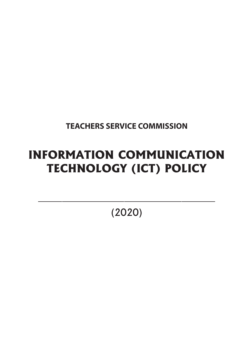**TEACHERS SERVICE COMMISSION**

# **INFORMATION COMMUNICATION TECHNOLOGY (ICT) POLICY**

(2020)

**\_\_\_\_\_\_\_\_\_\_\_\_\_\_\_\_\_\_\_\_\_\_\_\_\_\_\_\_\_\_\_\_\_\_\_\_\_**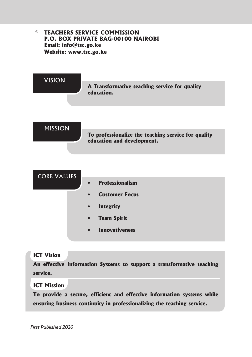**© TEACHERS SERVICE COMMISSION P.O. BOX PRIVATE BAG-00100 NAIROBI Email: info@tsc.go.ke Website: www.tsc.go.ke**

| <b>VISION</b>      | A Transformative teaching service for quality<br>education.                       |
|--------------------|-----------------------------------------------------------------------------------|
| <b>MISSION</b>     | To professionalize the teaching service for quality<br>education and development. |
| <b>CORE VALUES</b> | <b>Professionalism</b><br><b>Customer Focus</b>                                   |

- **• Integrity**
- **• Team Spirit**
- **• Innovativeness**

#### **ICT Vision**

**An effective Information Systems to support a transformative teaching service.**

#### **ICT Mission**

**To provide a secure, efficient and effective information systems while ensuring business continuity in professionalizing the teaching service.**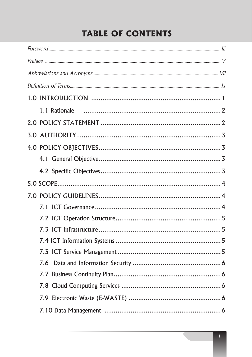## **TABLE OF CONTENTS**

| 7.6 |  |
|-----|--|
|     |  |
|     |  |
|     |  |
|     |  |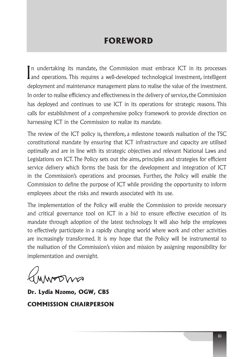## **FOREWORD**

In undertaking its mandate, the Commission must embrace ICT in its processes and operations. This requires a well-developed technological investment, intelligent n undertaking its mandate, the Commission must embrace ICT in its processes deployment and maintenance management plans to realise the value of the investment. In order to realise efficiency and effectiveness in the delivery of service, the Commission has deployed and continues to use ICT in its operations for strategic reasons. This calls for establishment of a comprehensive policy framework to provide direction on harnessing ICT in the Commission to realize its mandate.

The review of the ICT policy is, therefore, a milestone towards realisation of the TSC constitutional mandate by ensuring that ICT infrastructure and capacity are utilised optimally and are in line with its strategic objectives and relevant National Laws and Legislations on ICT. The Policy sets out the aims, principles and strategies for efficient service delivery which forms the basis for the development and integration of ICT in the Commission's operations and processes. Further, the Policy will enable the Commission to define the purpose of ICT while providing the opportunity to inform employees about the risks and rewards associated with its use.

The implementation of the Policy will enable the Commission to provide necessary and critical governance tool on ICT in a bid to ensure effective execution of its mandate through adoption of the latest technology. It will also help the employees to effectively participate in a rapidly changing world where work and other activities are increasingly transformed. It is my hope that the Policy will be instrumental to the realisation of the Commission's vision and mission by assigning responsibility for implementation and oversight.

MWODWA

**Dr. Lydia Nzomo, OGW, CBS COMMISSION CHAIRPERSON**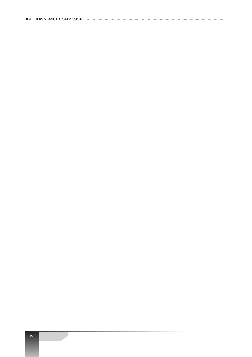| <b>TEACHERS SERVICE COMMISSION</b> |  |
|------------------------------------|--|
|                                    |  |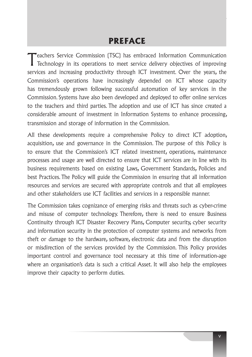### **PREFACE**

Teachers Service Commission (TSC) has embraced Information Communication<br>Technology in its operations to meet service delivery objectives of improving services and increasing productivity through ICT investment. Over the years, the Commission's operations have increasingly depended on ICT whose capacity has tremendously grown following successful automation of key services in the Commission. Systems have also been developed and deployed to offer online services to the teachers and third parties. The adoption and use of ICT has since created a considerable amount of investment in Information Systems to enhance processing, transmission and storage of information in the Commission.

All these developments require a comprehensive Policy to direct ICT adoption, acquisition, use and governance in the Commission. The purpose of this Policy is to ensure that the Commission's ICT related investment, operations, maintenance processes and usage are well directed to ensure that ICT services are in line with its business requirements based on existing Laws, Government Standards, Policies and best Practices. The Policy will guide the Commission in ensuring that all information resources and services are secured with appropriate controls and that all employees and other stakeholders use ICT facilities and services in a responsible manner.

The Commission takes cognizance of emerging risks and threats such as cyber-crime and misuse of computer technology. Therefore, there is need to ensure Business Continuity through ICT Disaster Recovery Plans, Computer security, cyber security and information security in the protection of computer systems and networks from theft or damage to the hardware, software, electronic data and from the disruption or misdirection of the services provided by the Commission. This Policy provides important control and governance tool necessary at this time of information-age where an organisation's data is such a critical Asset. It will also help the employees improve their capacity to perform duties.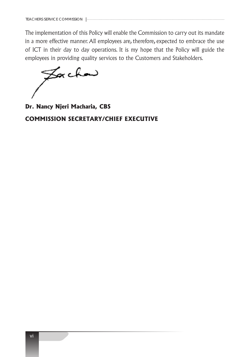The implementation of this Policy will enable the Commission to carry out its mandate in a more effective manner. All employees are, therefore, expected to embrace the use of ICT in their day to day operations. It is my hope that the Policy will guide the employees in providing quality services to the Customers and Stakeholders.

Zachow

**Dr. Nancy Njeri Macharia, CBS COMMISSION SECRETARY/CHIEF EXECUTIVE**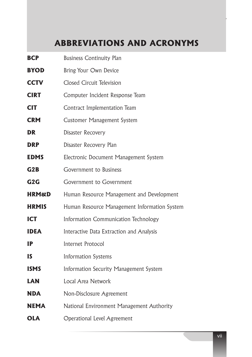## **ABBREVIATIONS AND ACRONYMS**

| BCP              | Business Continuity Plan                     |
|------------------|----------------------------------------------|
| <b>BYOD</b>      | Bring Your Own Device                        |
| <b>CCTV</b>      | Closed Circuit Television                    |
| <b>CIRT</b>      | Computer Incident Response Team              |
| <b>CIT</b>       | Contract Implementation Team                 |
| <b>CRM</b>       | Customer Management System                   |
| DR.              | Disaster Recovery                            |
| <b>DRP</b>       | Disaster Recovery Plan                       |
| <b>EDMS</b>      | Electronic Document Management System        |
| G2B              | Government to Business                       |
| G2G              | Government to Government                     |
| <b>HRM&amp;D</b> | Human Resource Management and Development    |
| <b>HRMIS</b>     | Human Resource Management Information System |
| <b>ICT</b>       | Information Communication Technology         |
| <b>IDEA</b>      | Interactive Data Extraction and Analysis     |
| IP               | Internet Protocol                            |
| IS               | Information Systems                          |
| <b>ISMS</b>      | Information Security Management System       |
| LAN              | Local Area Network                           |
| NDA              | Non-Disclosure Agreement                     |
| NEMA             | National Environment Management Authority    |
| OLA              | Operational Level Agreement                  |
|                  |                                              |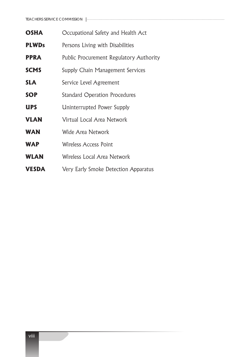| <b>OSHA</b>  | Occupational Safety and Health Act      |
|--------------|-----------------------------------------|
| <b>PLWDs</b> | Persons Living with Disabilities        |
| <b>PPRA</b>  | Public Procurement Regulatory Authority |
| <b>SCMS</b>  | Supply Chain Management Services        |
| <b>SLA</b>   | Service Level Agreement                 |
| <b>SOP</b>   | <b>Standard Operation Procedures</b>    |
| <b>UPS</b>   | Uninterrupted Power Supply              |
| <b>VLAN</b>  | Virtual Local Area Network              |
| <b>WAN</b>   | Wide Area Network                       |
| <b>WAP</b>   | Wireless Access Point                   |
| <b>WLAN</b>  | Wireless Local Area Network             |
| <b>VESDA</b> | Very Early Smoke Detection Apparatus    |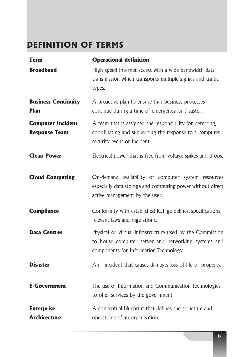## **DEFINITION OF TERMS**

| Term                                             | <b>Operational definition</b>                                                                                                                              |
|--------------------------------------------------|------------------------------------------------------------------------------------------------------------------------------------------------------------|
| <b>Broadband</b>                                 | High speed Internet access with a wide bandwidth data<br>transmission which transports multiple signals and traffic<br>types.                              |
| <b>Business Continuity</b><br><b>Plan</b>        | A proactive plan to ensure that business processes<br>continue during a time of emergency or disaster.                                                     |
| <b>Computer Incident</b><br><b>Response Team</b> | A team that is assigned the responsibility for deterring,<br>coordinating and supporting the response to a computer<br>security event or incident.         |
| <b>Clean Power</b>                               | Electrical power that is free from voltage spikes and drops.                                                                                               |
| <b>Cloud Computing</b>                           | On-demand availability of computer system resources<br>especially data storage and computing power without direct<br>active management by the user.        |
| <b>Compliance</b>                                | Conformity with established ICT guidelines, specifications,<br>relevant laws and regulations.                                                              |
| <b>Data Centres</b>                              | Physical or virtual infrastructure used by the Commission<br>to house computer server and networking systems and<br>components for Information Technology. |
| <b>Disaster</b>                                  | incident that causes damage, loss of life or property.<br>An                                                                                               |
| <b>E-Government</b>                              | The use of Information and Communication Technologies<br>to offer services by the government.                                                              |
| <b>Enterprise</b><br><b>Architecture</b>         | A conceptual blueprint that defines the structure and<br>operations of an organisation.                                                                    |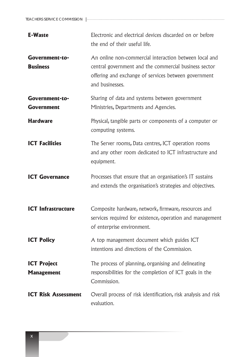TEACHERS SERVICE COMMISSION

| <b>E-Waste</b>                          | Electronic and electrical devices discarded on or before<br>the end of their useful life.                                                                                                  |
|-----------------------------------------|--------------------------------------------------------------------------------------------------------------------------------------------------------------------------------------------|
| Government-to-<br><b>Business</b>       | An online non-commercial interaction between local and<br>central government and the commercial business sector<br>offering and exchange of services between government<br>and businesses. |
| Government-to-<br>Government            | Sharing of data and systems between government<br>Ministries, Departments and Agencies.                                                                                                    |
| <b>Hardware</b>                         | Physical, tangible parts or components of a computer or<br>computing systems.                                                                                                              |
| <b>ICT Facilities</b>                   | The Server rooms, Data centres, ICT operation rooms<br>and any other room dedicated to ICT infrastructure and<br>equipment.                                                                |
| <b>ICT Governance</b>                   | Processes that ensure that an organisation's IT sustains<br>and extends the organisation's strategies and objectives.                                                                      |
| <b>ICT Infrastructure</b>               | Composite hardware, network, firmware, resources and<br>services required for existence, operation and management<br>of enterprise environment.                                            |
| <b>ICT Policy</b>                       | A top management document which guides ICT<br>intentions and directions of the Commission.                                                                                                 |
| <b>ICT Project</b><br><b>Management</b> | The process of planning, organising and delineating<br>responsibilities for the completion of ICT goals in the<br>Commission.                                                              |
| <b>ICT Risk Assessment</b>              | Overall process of risk identification, risk analysis and risk<br>evaluation.                                                                                                              |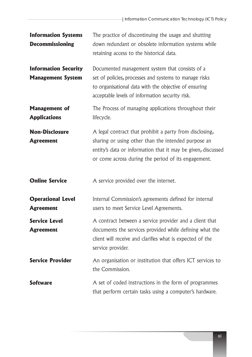*Information Communication Technology (ICT) Policy*

| <b>Information Systems</b><br><b>Decommissioning</b>    | The practice of discontinuing the usage and shutting<br>down redundant or obsolete information systems while<br>retaining access to the historical data.                                                                              |
|---------------------------------------------------------|---------------------------------------------------------------------------------------------------------------------------------------------------------------------------------------------------------------------------------------|
| <b>Information Security</b><br><b>Management System</b> | Documented management system that consists of a<br>set of policies, processes and systems to manage risks<br>to organisational data with the objective of ensuring<br>acceptable levels of information security risk.                 |
| <b>Management of</b><br><b>Applications</b>             | The Process of managing applications throughout their<br>lifecycle.                                                                                                                                                                   |
| <b>Non-Disclosure</b><br><b>Agreement</b>               | A legal contract that prohibit a party from disclosing,<br>sharing or using other than the intended purpose an<br>entity's data or information that it may be given, discussed<br>or come across during the period of its engagement. |
| <b>Online Service</b>                                   | A service provided over the internet.                                                                                                                                                                                                 |
| <b>Operational Level</b><br><b>Agreement</b>            | Internal Commission's agreements defined for internal<br>users to meet Service Level Agreements.                                                                                                                                      |
| <b>Service Level</b><br><b>Agreement</b>                | A contract between a service provider and a client that<br>documents the services provided while defining what the<br>client will receive and clarifies what is expected of the<br>service provider.                                  |
| <b>Service Provider</b>                                 | An organisation or institution that offers ICT services to<br>the Commission.                                                                                                                                                         |
| <b>Software</b>                                         | A set of coded instructions in the form of programmes<br>that perform certain tasks using a computer's hardware.                                                                                                                      |

 $\overline{\phantom{a}}$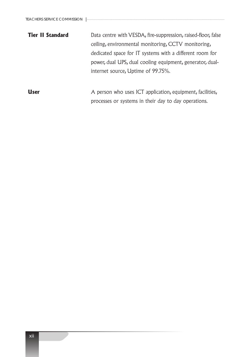| <b>Tier II Standard</b> | Data centre with VESDA, fire-suppression, raised-floor, false |
|-------------------------|---------------------------------------------------------------|
|                         | ceiling, environmental monitoring, CCTV monitoring,           |
|                         | dedicated space for IT systems with a different room for      |
|                         | power, dual UPS, dual cooling equipment, generator, dual-     |
|                         | internet source, Uptime of 99.75%.                            |
|                         |                                                               |

**User** A person who uses ICT application, equipment, facilities, processes or systems in their day to day operations.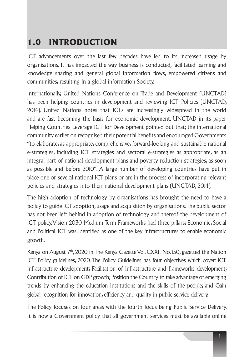# **1.0 INTRODUCTION**

ICT advancements over the last few decades have led to its increased usage by organisations. It has impacted the way business is conducted, facilitated learning and knowledge sharing and general global information flows, empowered citizens and communities, resulting in a global information Society.

Internationally, United Nations Conference on Trade and Development (UNCTAD) has been helping countries in development and reviewing ICT Policies (UNCTAD, 2014). United Nations notes that ICTs are increasingly widespread in the world and are fast becoming the basis for economic development. UNCTAD in its paper Helping Countries Leverage ICT for Development pointed out that; the international community earlier on recognised their potential benefits and encouraged Governments "to elaborate, as appropriate, comprehensive, forward-looking and sustainable national e-strategies, including ICT strategies and sectoral e-strategies as appropriate, as an integral part of national development plans and poverty reduction strategies, as soon as possible and before 2010". A large number of developing countries have put in place one or several national ICT plans or are in the process of incorporating relevant policies and strategies into their national development plans (UNCTAD, 2014).

The high adoption of technology by organisations has brought the need to have a policy to guide ICT adoption, usage and acquisition by organisations. The public sector has not been left behind in adoption of technology and thereof the development of ICT policy. Vision 2030 Medium Term Frameworks had three pillars; Economic, Social and Political. ICT was identified as one of the key infrastructures to enable economic growth.

Kenya on August 7<sup>th</sup>, 2020 in The Kenya Gazette Vol. CXXII No. 150, gazetted the Nation ICT Policy guidelines, 2020. The Policy Guidelines has four objectives which cover: ICT Infrastructure development; Facilitation of Infrastructure and frameworks development; Contribution of ICT on GDP growth; Position the Country to take advantage of emerging trends by enhancing the education Institutions and the skills of the people; and Gain global recognition for innovation, efficiency and quality in public service delivery.

The Policy focuses on four areas with the fourth focus being Public Service Delivery. It is now a Government policy that all government services must be available online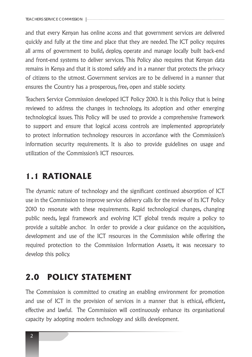TEACHERS SERVICE COMMISSION |

and that every Kenyan has online access and that government services are delivered quickly and fully at the time and place that they are needed. The ICT policy requires all arms of government to build, deploy, operate and manage locally built back-end and front-end systems to deliver services. This Policy also requires that Kenyan data remains in Kenya and that it is stored safely and in a manner that protects the privacy of citizens to the utmost. Government services are to be delivered in a manner that ensures the Country has a prosperous, free, open and stable society.

Teachers Service Commission developed ICT Policy 2010. It is this Policy that is being reviewed to address the changes in technology, its adoption and other emerging technological issues. This Policy will be used to provide a comprehensive framework to support and ensure that logical access controls are implemented appropriately to protect information technology resources in accordance with the Commission's information security requirements. It is also to provide guidelines on usage and utilization of the Commission's ICT resources.

## **1.1 RATIONALE**

The dynamic nature of technology and the significant continued absorption of ICT use in the Commission to improve service delivery calls for the review of its ICT Policy 2010 to resonate with these requirements. Rapid technological changes, changing public needs, legal framework and evolving ICT global trends require a policy to provide a suitable anchor. In order to provide a clear guidance on the acquisition, development and use of the ICT resources in the Commission while offering the required protection to the Commission Information Assets, it was necessary to develop this policy.

## **2.0 POLICY STATEMENT**

The Commission is committed to creating an enabling environment for promotion and use of ICT in the provision of services in a manner that is ethical, efficient, effective and lawful. The Commission will continuously enhance its organisational capacity by adopting modern technology and skills development.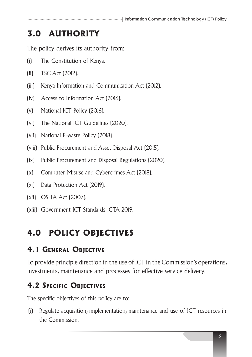## **3.0 AUTHORITY**

The policy derives its authority from:

- (i) The Constitution of Kenya.
- (ii) TSC Act (2012).
- (iii) Kenya Information and Communication Act (2012).
- (iv) Access to Information Act (2016).
- (v) National ICT Policy (2016).
- (vi) The National ICT Guidelines (2020).
- (vii) National E-waste Policy (2018).
- (viii) Public Procurement and Asset Disposal Act (2015).
- (ix) Public Procurement and Disposal Regulations (2020).
- (x) Computer Misuse and Cybercrimes Act (2018).
- (xi) Data Protection Act (2019).
- (xii) OSHA Act (2007).
- (xiii) Government ICT Standards ICTA-2019.

## **4.0 POLICY OBJECTIVES**

### **4.1 General Objective**

To provide principle direction in the use of ICT in the Commission's operations, investments, maintenance and processes for effective service delivery.

### **4.2 Specific Objectives**

The specific objectives of this policy are to:

(i) Regulate acquisition, implementation, maintenance and use of ICT resources in the Commission.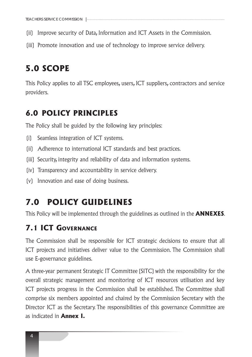- (ii) Improve security of Data, Information and ICT Assets in the Commission.
- (iii) Promote innovation and use of technology to improve service delivery.

## **5.0 SCOPE**

This Policy applies to all TSC employees, users, ICT suppliers, contractors and service providers.

### **6.0 POLICY PRINCIPLES**

The Policy shall be guided by the following key principles:

- (i) Seamless integration of ICT systems.
- (ii) Adherence to international ICT standards and best practices.
- (iii) Security, integrity and reliability of data and information systems.
- (iv) Transparency and accountability in service delivery.
- (v) Innovation and ease of doing business.

## **7.0 POLICY GUIDELINES**

This Policy will be implemented through the guidelines as outlined in the **ANNEXES**.

### **7.1 ICT Governance**

The Commission shall be responsible for ICT strategic decisions to ensure that all ICT projects and initiatives deliver value to the Commission. The Commission shall use E-governance guidelines.

A three-year permanent Strategic IT Committee (SITC) with the responsibility for the overall strategic management and monitoring of ICT resources utilisation and key ICT projects progress in the Commission shall be established. The Committee shall comprise six members appointed and chaired by the Commission Secretary with the Director ICT as the Secretary. The responsibilities of this governance Committee are as indicated in **Annex I.**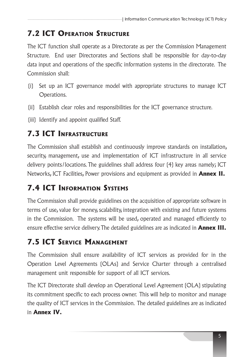## **7.2 ICT Operation Structure**

The ICT function shall operate as a Directorate as per the Commission Management Structure. End user Directorates and Sections shall be responsible for day-to-day data input and operations of the specific information systems in the directorate. The Commission shall:

- (i) Set up an ICT governance model with appropriate structures to manage ICT Operations.
- (ii) Establish clear roles and responsibilities for the ICT governance structure.
- (iii) Identify and appoint qualified Staff.

## **7.3 ICT Infrastructure**

The Commission shall establish and continuously improve standards on installation, security, management, use and implementation of ICT infrastructure in all service delivery points/locations. The guidelines shall address four (4) key areas namely; ICT Networks, ICT Facilities, Power provisions and equipment as provided in **Annex II.**

## **7.4 ICT Information Systems**

The Commission shall provide guidelines on the acquisition of appropriate software in terms of use, value for money, scalability, integration with existing and future systems in the Commission. The systems will be used, operated and managed efficiently to ensure effective service delivery. The detailed guidelines are as indicated in **Annex III.**

### **7.5 ICT Service Management**

The Commission shall ensure availability of ICT services as provided for in the Operation Level Agreements (OLAs) and Service Charter through a centralised management unit responsible for support of all ICT services.

The ICT Directorate shall develop an Operational Level Agreement (OLA) stipulating its commitment specific to each process owner. This will help to monitor and manage the quality of ICT services in the Commission. The detailed guidelines are as indicated in **Annex IV.**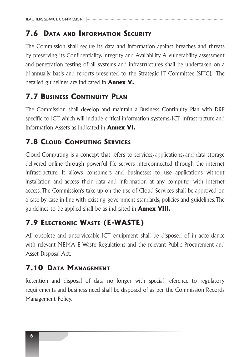### **7.6 Data and Information Security**

The Commission shall secure its data and information against breaches and threats by preserving its Confidentiality, Integrity and Availability. A vulnerability assessment and penetration testing of all systems and infrastructures shall be undertaken on a bi-annually basis and reports presented to the Strategic IT Committee (SITC). The detailed guidelines are indicated in **Annex V.**

### **7.7 Business Continuity Plan**

The Commission shall develop and maintain a Business Continuity Plan with DRP specific to ICT which will include critical information systems, ICT Infrastructure and Information Assets as indicated in **Annex VI.**

### **7.8 Cloud Computing Services**

Cloud Computing is a concept that refers to services, applications, and data storage delivered online through powerful file servers interconnected through the internet infrastructure. It allows consumers and businesses to use applications without installation and access their data and information at any computer with internet access. The Commission's take-up on the use of Cloud Services shall be approved on a case by case in-line with existing government standards, policies and guidelines. The guidelines to be applied shall be as indicated in **Annex VIII.**

### **7.9 Electronic Waste (E-WASTE)**

All obsolete and unserviceable ICT equipment shall be disposed of in accordance with relevant NEMA E-Waste Regulations and the relevant Public Procurement and Asset Disposal Act.

### **7.10 Data Management**

Retention and disposal of data no longer with special reference to regulatory requirements and business need shall be disposed of as per the Commission Records Management Policy.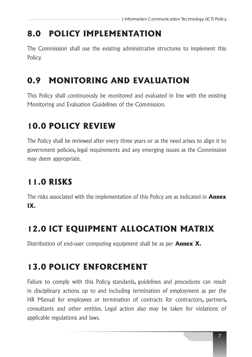## **8.0 POLICY IMPLEMENTATION**

The Commission shall use the existing administrative structures to implement this Policy.

## **0.9 MONITORING AND EVALUATION**

This Policy shall continuously be monitored and evaluated in line with the existing Monitoring and Evaluation Guidelines of the Commission.

## **10.0 POLICY REVIEW**

The Policy shall be reviewed after every three years or as the need arises to align it to government policies, legal requirements and any emerging issues as the Commission may deem appropriate.

## **11.0 RISKS**

The risks associated with the implementation of this Policy are as indicated in **Annex IX.**

## **12.0 ICT EQUIPMENT ALLOCATION MATRIX**

Distribution of end-user computing equipment shall be as per **Annex X.**

## **13.0 POLICY ENFORCEMENT**

Failure to comply with this Policy, standards, guidelines and procedures can result in disciplinary actions up to and including termination of employment as per the HR Manual for employees or termination of contracts for contractors, partners, consultants and other entities. Legal action also may be taken for violations of applicable regulations and laws.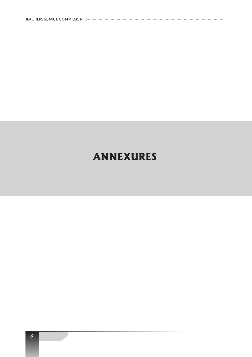TEACHERS SERVICE COMMISSION

## **ANNEXURES**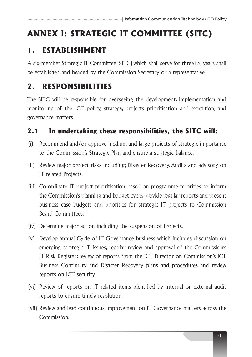## **ANNEX I: STRATEGIC IT COMMITTEE (SITC)**

## **1. ESTABLISHMENT**

A six-member Strategic IT Committee (SITC) which shall serve for three (3) years shall be established and headed by the Commission Secretary or a representative.

### **2. RESPONSIBILITIES**

The SITC will be responsible for overseeing the development, implementation and monitoring of the ICT policy, strategy, projects prioritisation and execution, and governance matters.

#### **2.1 In undertaking these responsibilities, the SITC will:**

- (i) Recommend and/or approve medium and large projects of strategic importance to the Commission's Strategic Plan and ensure a strategic balance.
- (ii) Review major project risks including; Disaster Recovery, Audits and advisory on IT related Projects.
- (iii) Co-ordinate IT project prioritisation based on programme priorities to inform the Commission's planning and budget cycle, provide regular reports and present business case budgets and priorities for strategic IT projects to Commission Board Committees.
- (iv) Determine major action including the suspension of Projects.
- (v) Develop annual Cycle of IT Governance business which includes: discussion on emerging strategic IT issues; regular review and approval of the Commission's IT Risk Register; review of reports from the ICT Director on Commission's ICT Business Continuity and Disaster Recovery plans and procedures and review reports on ICT security.
- (vi) Review of reports on IT related items identified by internal or external audit reports to ensure timely resolution.
- (vii) Review and lead continuous improvement on IT Governance matters across the Commission.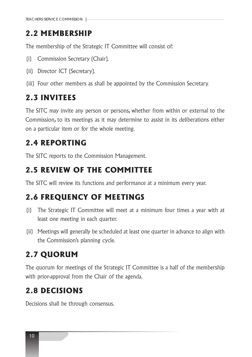## **2.2 MEMBERSHIP**

The membership of the Strategic IT Committee will consist of:

- (i) Commission Secretary (Chair).
- (ii) Director ICT (Secretary).
- (iii) Four other members as shall be appointed by the Commission Secretary.

## **2.3 INVITEES**

The SITC may invite any person or persons, whether from within or external to the Commission, to its meetings as it may determine to assist in its deliberations either on a particular item or for the whole meeting.

## **2.4 REPORTING**

The SITC reports to the Commission Management.

## **2.5 REVIEW OF THE COMMITTEE**

The SITC will review its functions and performance at a minimum every year.

## **2.6 FREQUENCY OF MEETINGS**

- (i) The Strategic IT Committee will meet at a minimum four times a year with at least one meeting in each quarter.
- (ii) Meetings will generally be scheduled at least one quarter in advance to align with the Commission's planning cycle.

## **2.7 QUORUM**

The quorum for meetings of the Strategic IT Committee is a half of the membership with prior-approval from the Chair of the agenda.

## **2.8 DECISIONS**

Decisions shall be through consensus.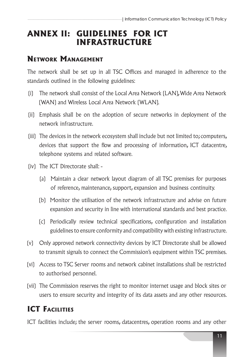### **ANNEX II: GUIDELINES FOR ICT INFRASTRUCTURE**

### **Network Management**

The network shall be set up in all TSC Offices and managed in adherence to the standards outlined in the following guidelines:

- (i) The network shall consist of the Local Area Network (LAN), Wide Area Network (WAN) and Wireless Local Area Network (WLAN).
- (ii) Emphasis shall be on the adoption of secure networks in deployment of the network infrastructure.
- (iii) The devices in the network ecosystem shall include but not limited to; computers, devices that support the flow and processing of information, ICT datacentre, telephone systems and related software.
- (iv) The ICT Directorate shall:
	- (a) Maintain a clear network layout diagram of all TSC premises for purposes of reference, maintenance, support, expansion and business continuity.
	- (b) Monitor the utilisation of the network infrastructure and advise on future expansion and security in line with international standards and best practice.
	- (c) Periodically review technical specifications, configuration and installation guidelines to ensure conformity and compatibility with existing infrastructure.
- (v) Only approved network connectivity devices by ICT Directorate shall be allowed to transmit signals to connect the Commission's equipment within TSC premises.
- (vi) Access to TSC Server rooms and network cabinet installations shall be restricted to authorised personnel.
- (vii) The Commission reserves the right to monitor internet usage and block sites or users to ensure security and integrity of its data assets and any other resources.

### **ICT FACILITIES**

ICT facilities include; the server rooms, datacentres, operation rooms and any other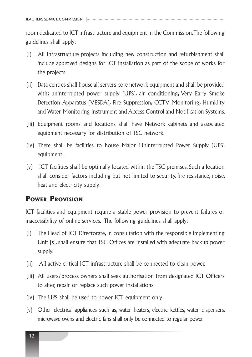TEACHERS SERVICE COMMISSION | ...

room dedicated to ICT infrastructure and equipment in the Commission. The following guidelines shall apply:

- (i) All Infrastructure projects including new construction and refurbishment shall include approved designs for ICT installation as part of the scope of works for the projects.
- (ii) Data centres shall house all servers core network equipment and shall be provided with; uninterrupted power supply (UPS), air conditioning, Very Early Smoke Detection Apparatus (VESDA), Fire Suppression, CCTV Monitoring, Humidity and Water Monitoring Instrument and Access Control and Notification Systems.
- (iii) Equipment rooms and locations shall have Network cabinets and associated equipment necessary for distribution of TSC network.
- (iv) There shall be facilities to house Major Uninterrupted Power Supply (UPS) equipment.
- (v) ICT facilities shall be optimally located within the TSC premises. Such a location shall consider factors including but not limited to security, fire resistance, noise, heat and electricity supply.

#### **Power Provision**

ICT facilities and equipment require a stable power provision to prevent failures or inaccessibility of online services. The following guidelines shall apply:

- (i) The Head of ICT Directorate, in consultation with the responsible implementing Unit (s), shall ensure that TSC Offices are installed with adequate backup power supply.
- (ii) All active critical ICT infrastructure shall be connected to clean power.
- (iii) All users/process owners shall seek authorisation from designated ICT Officers to alter, repair or replace such power installations.
- (iv) The UPS shall be used to power ICT equipment only.
- (v) Other electrical appliances such as, water heaters, electric kettles, water dispensers, microwave ovens and electric fans shall only be connected to regular power.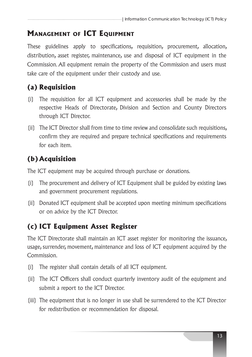### **Management of ICT Equipment**

These guidelines apply to specifications, requisition, procurement, allocation, distribution, asset register, maintenance, use and disposal of ICT equipment in the Commission. All equipment remain the property of the Commission and users must take care of the equipment under their custody and use.

## **(a) Requisition**

- (i) The requisition for all ICT equipment and accessories shall be made by the respective Heads of Directorate, Division and Section and County Directors through ICT Director.
- (ii) The ICT Director shall from time to time review and consolidate such requisitions, confirm they are required and prepare technical specifications and requirements for each item.

## **(b) Acquisition**

The ICT equipment may be acquired through purchase or donations.

- (i) The procurement and delivery of ICT Equipment shall be guided by existing laws and government procurement regulations.
- (ii) Donated ICT equipment shall be accepted upon meeting minimum specifications or on advice by the ICT Director.

### **(c) ICT Equipment Asset Register**

The ICT Directorate shall maintain an ICT asset register for monitoring the issuance, usage, surrender, movement, maintenance and loss of ICT equipment acquired by the Commission.

- (i) The register shall contain details of all ICT equipment.
- (ii) The ICT Officers shall conduct quarterly inventory audit of the equipment and submit a report to the ICT Director.
- (iii) The equipment that is no longer in use shall be surrendered to the ICT Director for redistribution or recommendation for disposal.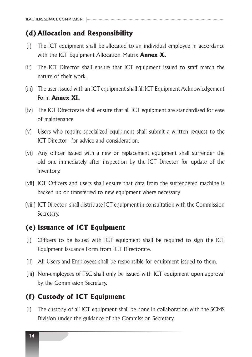#### **(d) Allocation and Responsibility**

(i) The ICT equipment shall be allocated to an individual employee in accordance with the ICT Equipment Allocation Matrix **Annex X.**

- (ii) The ICT Director shall ensure that ICT equipment issued to staff match the nature of their work.
- (iii) The user issued with an ICT equipment shall fill ICT Equipment Acknowledgement Form **Annex XI.**
- (iv) The ICT Directorate shall ensure that all ICT equipment are standardised for ease of maintenance
- (v) Users who require specialized equipment shall submit a written request to the ICT Director for advice and consideration.
- (vi) Any officer issued with a new or replacement equipment shall surrender the old one immediately after inspection by the ICT Director for update of the inventory.
- (vii) ICT Officers and users shall ensure that data from the surrendered machine is backed up or transferred to new equipment where necessary.
- (viii) ICT Director shall distribute ICT equipment in consultation with the Commission Secretary.

#### **(e) Issuance of ICT Equipment**

- (i) Officers to be issued with ICT equipment shall be required to sign the ICT Equipment Issuance Form from ICT Directorate.
- (ii) All Users and Employees shall be responsible for equipment issued to them.
- (iii) Non-employees of TSC shall only be issued with ICT equipment upon approval by the Commission Secretary.

#### **(f) Custody of ICT Equipment**

(i) The custody of all ICT equipment shall be done in collaboration with the SCMS Division under the guidance of the Commission Secretary.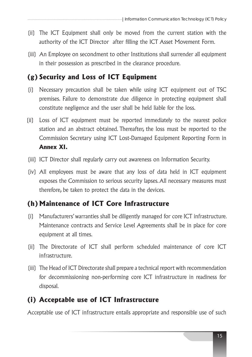- (ii) The ICT Equipment shall only be moved from the current station with the authority of the ICT Director after filling the ICT Asset Movement Form.
- (iii) An Employee on secondment to other Institutions shall surrender all equipment in their possession as prescribed in the clearance procedure.

### **(g) Security and Loss of ICT Equipment**

- (i) Necessary precaution shall be taken while using ICT equipment out of TSC premises. Failure to demonstrate due diligence in protecting equipment shall constitute negligence and the user shall be held liable for the loss.
- (ii) Loss of ICT equipment must be reported immediately to the nearest police station and an abstract obtained. Thereafter, the loss must be reported to the Commission Secretary using ICT Lost-Damaged Equipment Reporting Form in **Annex XI.**
- (iii) ICT Director shall regularly carry out awareness on Information Security.
- (iv) All employees must be aware that any loss of data held in ICT equipment exposes the Commission to serious security lapses. All necessary measures must therefore, be taken to protect the data in the devices.

### **(h) Maintenance of ICT Core Infrastructure**

- (i) Manufacturers' warranties shall be diligently managed for core ICT infrastructure. Maintenance contracts and Service Level Agreements shall be in place for core equipment at all times.
- (ii) The Directorate of ICT shall perform scheduled maintenance of core ICT infrastructure.
- (iii) The Head of ICT Directorate shall prepare a technical report with recommendation for decommissioning non-performing core ICT infrastructure in readiness for disposal.

### **(i) Acceptable use of ICT Infrastructure**

Acceptable use of ICT infrastructure entails appropriate and responsible use of such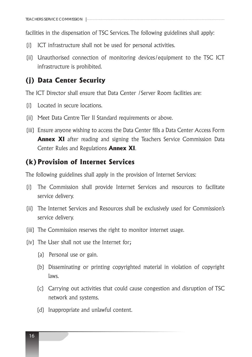facilities in the dispensation of TSC Services. The following guidelines shall apply:

- (i) ICT infrastructure shall not be used for personal activities.
- (ii) Unauthorised connection of monitoring devices/equipment to the TSC ICT infrastructure is prohibited.

#### **(j) Data Center Security**

The ICT Director shall ensure that Data Center /Server Room facilities are:

- (i) Located in secure locations.
- (ii) Meet Data Centre Tier II Standard requirements or above.
- (iii) Ensure anyone wishing to access the Data Center fills a Data Center Access Form **Annex XI** after reading and signing the Teachers Service Commission Data Center Rules and Regulations **Annex XI**.

#### **(k)Provision of Internet Services**

The following guidelines shall apply in the provision of Internet Services:

- (i) The Commission shall provide Internet Services and resources to facilitate service delivery.
- (ii) The Internet Services and Resources shall be exclusively used for Commission's service delivery.
- (iii) The Commission reserves the right to monitor internet usage.
- (iv) The User shall not use the Internet for;
	- (a) Personal use or gain.
	- (b) Disseminating or printing copyrighted material in violation of copyright laws.
	- (c) Carrying out activities that could cause congestion and disruption of TSC network and systems.
	- (d) Inappropriate and unlawful content.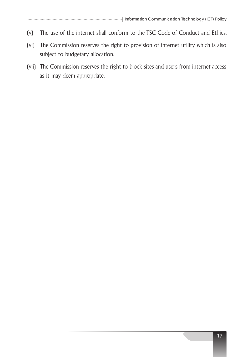- (v) The use of the internet shall conform to the TSC Code of Conduct and Ethics.
- (vi) The Commission reserves the right to provision of internet utility which is also subject to budgetary allocation.
- (vii) The Commission reserves the right to block sites and users from internet access as it may deem appropriate.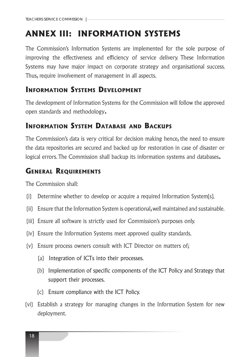## **ANNEX III: INFORMATION SYSTEMS**

The Commission's Information Systems are implemented for the sole purpose of improving the effectiveness and efficiency of service delivery. These Information Systems may have major impact on corporate strategy and organisational success. Thus, require involvement of management in all aspects.

#### **Information Systems Development**

The development of Information Systems for the Commission will follow the approved open standards and methodology**.**

#### **Information System Database and Backups**

The Commission's data is very critical for decision making hence, the need to ensure the data repositories are secured and backed up for restoration in case of disaster or logical errors. The Commission shall backup its information systems and databases**.**

#### **General Requirements**

The Commission shall:

- (i) Determine whether to develop or acquire a required Information System(s).
- (ii) Ensure that the Information System is operational, well maintained and sustainable.
- (iii) Ensure all software is strictly used for Commission's purposes only.
- (iv) Ensure the Information Systems meet approved quality standards.
- (v) Ensure process owners consult with ICT Director on matters of;
	- (a) Integration of ICTs into their processes.
	- (b) Implementation of specific components of the ICT Policy and Strategy that support their processes.
	- (c) Ensure compliance with the ICT Policy.
- (vi) Establish a strategy for managing changes in the Information System for new deployment.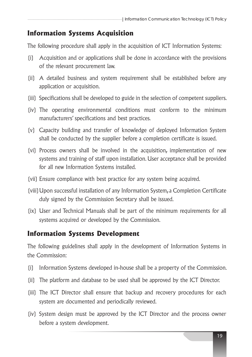#### **Information Systems Acquisition**

The following procedure shall apply in the acquisition of ICT Information Systems:

- (i) Acquisition and or applications shall be done in accordance with the provisions of the relevant procurement law.
- (ii) A detailed business and system requirement shall be established before any application or acquisition.
- (iii) Specifications shall be developed to guide in the selection of competent suppliers.
- (iv) The operating environmental conditions must conform to the minimum manufacturers' specifications and best practices.
- (v) Capacity building and transfer of knowledge of deployed Information System shall be conducted by the supplier before a completion certificate is issued.
- (vi) Process owners shall be involved in the acquisition, implementation of new systems and training of staff upon installation. User acceptance shall be provided for all new Information Systems installed.
- (vii) Ensure compliance with best practice for any system being acquired.
- (viii) Upon successful installation of any Information System, a Completion Certificate duly signed by the Commission Secretary shall be issued.
- (ix) User and Technical Manuals shall be part of the minimum requirements for all systems acquired or developed by the Commission.

#### **Information Systems Development**

The following guidelines shall apply in the development of Information Systems in the Commission:

- (i) Information Systems developed in-house shall be a property of the Commission.
- (ii) The platform and database to be used shall be approved by the ICT Director.
- (iii) The ICT Director shall ensure that backup and recovery procedures for each system are documented and periodically reviewed.
- (iv) System design must be approved by the ICT Director and the process owner before a system development.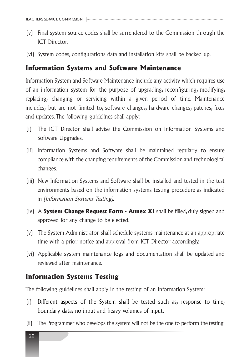- (v) Final system source codes shall be surrendered to the Commission through the ICT Director.
- (vi) System codes, configurations data and installation kits shall be backed up.

#### **Information Systems and Software Maintenance**

Information System and Software Maintenance include any activity which requires use of an information system for the purpose of upgrading, reconfiguring, modifying, replacing, changing or servicing within a given period of time. Maintenance includes, but are not limited to, software changes, hardware changes, patches, fixes and updates. The following guidelines shall apply:

- (i) The ICT Director shall advise the Commission on Information Systems and Software Upgrades.
- (ii) Information Systems and Software shall be maintained regularly to ensure compliance with the changing requirements of the Commission and technological changes.
- (iii) New Information Systems and Software shall be installed and tested in the test environments based on the information systems testing procedure as indicated in (Information Systems Testing)**.**
- (iv) A **System Change Request Form Annex XI** shall be filled, duly signed and approved for any change to be elected.
- (v) The System Administrator shall schedule systems maintenance at an appropriate time with a prior notice and approval from ICT Director accordingly.
- (vi) Applicable system maintenance logs and documentation shall be updated and reviewed after maintenance.

#### **Information Systems Testing**

The following guidelines shall apply in the testing of an Information System:

- (i) Different aspects of the System shall be tested such as, response to time, boundary data, no input and heavy volumes of input.
- (ii) The Programmer who develops the system will not be the one to perform the testing.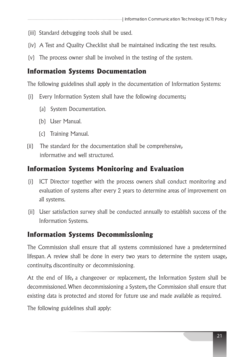- (iii) Standard debugging tools shall be used.
- (iv) A Test and Quality Checklist shall be maintained indicating the test results.
- (v) The process owner shall be involved in the testing of the system.

#### **Information Systems Documentation**

The following guidelines shall apply in the documentation of Information Systems:

- (i) Every Information System shall have the following documents;
	- (a) System Documentation.
	- (b) User Manual.
	- (c) Training Manual.
- (ii) The standard for the documentation shall be comprehensive, informative and well structured.

### **Information Systems Monitoring and Evaluation**

- (i) ICT Director together with the process owners shall conduct monitoring and evaluation of systems after every 2 years to determine areas of improvement on all systems.
- (ii) User satisfaction survey shall be conducted annually to establish success of the Information Systems.

#### **Information Systems Decommissioning**

The Commission shall ensure that all systems commissioned have a predetermined lifespan. A review shall be done in every two years to determine the system usage, continuity, discontinuity or decommissioning.

At the end of life, a changeover or replacement, the Information System shall be decommissioned. When decommissioning a System, the Commission shall ensure that existing data is protected and stored for future use and made available as required.

The following guidelines shall apply: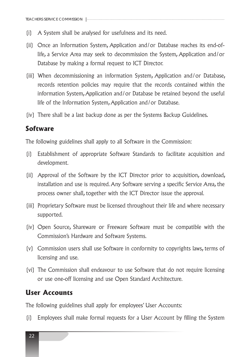- (i) A System shall be analysed for usefulness and its need.
- (ii) Once an Information System, Application and/or Database reaches its end-oflife, a Service Area may seek to decommission the System, Application and/or Database by making a formal request to ICT Director.
- (iii) When decommissioning an information System, Application and/or Database, records retention policies may require that the records contained within the information System, Application and/or Database be retained beyond the useful life of the Information System, Application and/or Database.
- (iv) There shall be a last backup done as per the Systems Backup Guidelines*.*

#### **Software**

The following guidelines shall apply to all Software in the Commission:

- (i) Establishment of appropriate Software Standards to facilitate acquisition and development.
- (ii) Approval of the Software by the ICT Director prior to acquisition, download, installation and use is required. Any Software serving a specific Service Area, the process owner shall, together with the ICT Director issue the approval.
- (iii) Proprietary Software must be licensed throughout their life and where necessary supported.
- (iv) Open Source, Shareware or Freeware Software must be compatible with the Commission's Hardware and Software Systems.
- (v) Commission users shall use Software in conformity to copyrights laws, terms of licensing and use.
- (vi) The Commission shall endeavour to use Software that do not require licensing or use one-off licensing and use Open Standard Architecture.

#### **User Accounts**

The following guidelines shall apply for employees' User Accounts:

(i) Employees shall make formal requests for a User Account by filling the System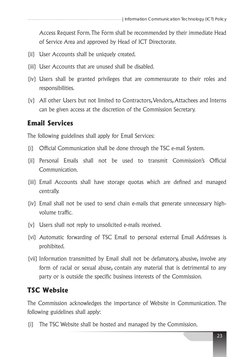Access Request Form. The Form shall be recommended by their immediate Head of Service Area and approved by Head of ICT Directorate.

- (ii) User Accounts shall be uniquely created.
- (iii) User Accounts that are unused shall be disabled.
- (iv) Users shall be granted privileges that are commensurate to their roles and responsibilities.
- (v) All other Users but not limited to Contractors, Vendors, Attachees and Interns can be given access at the discretion of the Commission Secretary.

#### **Email Services**

The following guidelines shall apply for Email Services:

- (i) Official Communication shall be done through the TSC e-mail System.
- (ii) Personal Emails shall not be used to transmit Commission's Official Communication.
- (iii) Email Accounts shall have storage quotas which are defined and managed centrally.
- (iv) Email shall not be used to send chain e-mails that generate unnecessary highvolume traffic.
- (v) Users shall not reply to unsolicited e-mails received.
- (vi) Automatic forwarding of TSC Email to personal external Email Addresses is prohibited.
- (vii) Information transmitted by Email shall not be defamatory, abusive, involve any form of racial or sexual abuse, contain any material that is detrimental to any party or is outside the specific business interests of the Commission.

#### **TSC Website**

The Commission acknowledges the importance of Website in Communication. The following guidelines shall apply:

(i) The TSC Website shall be hosted and managed by the Commission.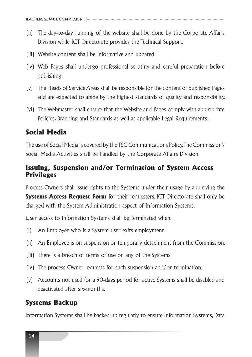- (ii) The day-to-day running of the website shall be done by the Corporate Affairs Division while ICT Directorate provides the Technical Support.
- (iii) Website content shall be informative and updated.
- (iv) Web Pages shall undergo professional scrutiny and careful preparation before publishing.
- (v) The Heads of Service Areas shall be responsible for the content of published Pages and are expected to abide by the highest standards of quality and responsibility.
- (vi) The Webmaster shall ensure that the Website and Pages comply with appropriate Policies, Branding and Standards as well as applicable Legal Requirements.

#### **Social Media**

The use of Social Media is covered by the TSC Communications Policy. The Commission's Social Media Activities shall be handled by the Corporate Affairs Division.

#### **Issuing, Suspension and/or Termination of System Access Privileges**

Process Owners shall issue rights to the Systems under their usage by approving the **Systems Access Request Form** for their requesters. ICT Directorate shall only be charged with the System Administration aspect of Information Systems.

User access to Information Systems shall be Terminated when:

- (i) An Employee who is a System user exits employment.
- (ii) An Employee is on suspension or temporary detachment from the Commission.
- (iii) There is a breach of terms of use on any of the Systems.
- (iv) The process Owner requests for such suspension and/or termination.
- (v) Accounts not used for a 90-days period for active Systems shall be disabled and deactivated after six-months.

#### **Systems Backup**

Information Systems shall be backed up regularly to ensure Information Systems, Data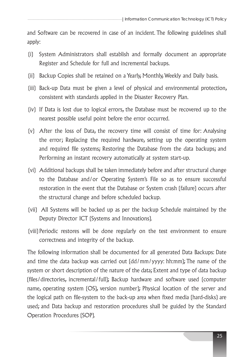and Software can be recovered in case of an incident. The following guidelines shall apply:

- (i) System Administrators shall establish and formally document an appropriate Register and Schedule for full and incremental backups.
- (ii) Backup Copies shall be retained on a Yearly, Monthly, Weekly and Daily basis.
- (iii) Back-up Data must be given a level of physical and environmental protection, consistent with standards applied in the Disaster Recovery Plan.
- (iv) If Data is lost due to logical errors, the Database must be recovered up to the nearest possible useful point before the error occurred.
- (v) After the loss of Data, the recovery time will consist of time for: Analysing the error; Replacing the required hardware, setting up the operating system and required file systems; Restoring the Database from the data backups; and Performing an instant recovery automatically at system start-up.
- (vi) Additional backups shall be taken immediately before and after structural change to the Database and/or Operating System's File so as to ensure successful restoration in the event that the Database or System crash (failure) occurs after the structural change and before scheduled backup.
- (vii) All Systems will be backed up as per the backup Schedule maintained by the Deputy Director ICT (Systems and Innovations).
- (viii) Periodic restores will be done regularly on the test environment to ensure correctness and integrity of the backup.

The following information shall be documented for all generated Data Backups: Date and time the data backup was carried out (dd/mm/yyyy: hh:mm); The name of the system or short description of the nature of the data; Extent and type of data backup (files/directories, incremental/full); Backup hardware and software used (computer name, operating system (OS), version number); Physical location of the server and the logical path on file-system to the back-up area when fixed media (hard-disks) are used; and Data backup and restoration procedures shall be guided by the Standard Operation Procedures (SOP).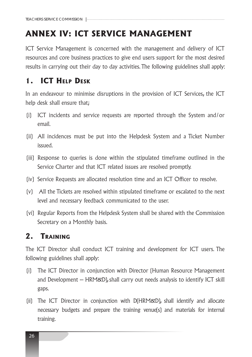# **ANNEX IV: ICT SERVICE MANAGEMENT**

ICT Service Management is concerned with the management and delivery of ICT resources and core business practices to give end users support for the most desired results in carrying out their day to day activities. The following guidelines shall apply:

## **1. ICT Help Desk**

In an endeavour to minimise disruptions in the provision of ICT Services, the ICT help desk shall ensure that;

- (i) ICT incidents and service requests are reported through the System and/or email.
- (ii) All incidences must be put into the Helpdesk System and a Ticket Number issued.
- (iii) Response to queries is done within the stipulated timeframe outlined in the Service Charter and that ICT related issues are resolved promptly.
- (iv) Service Requests are allocated resolution time and an ICT Officer to resolve.
- (v) All the Tickets are resolved within stipulated timeframe or escalated to the next level and necessary feedback communicated to the user.
- (vi) Regular Reports from the Helpdesk System shall be shared with the Commission Secretary on a Monthly basis.

#### **2. Training**

The ICT Director shall conduct ICT training and development for ICT users. The following guidelines shall apply:

- (i) The ICT Director in conjunction with Director (Human Resource Management and Development – HRM&D), shall carry out needs analysis to identify ICT skill gaps.
- (ii) The ICT Director in conjunction with D(HRM&D), shall identify and allocate necessary budgets and prepare the training venue(s) and materials for internal training.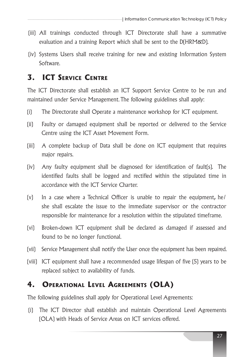- (iii) All trainings conducted through ICT Directorate shall have a summative evaluation and a training Report which shall be sent to the D(HRM&D).
- (iv) Systems Users shall receive training for new and existing Information System Software.

## **3. ICT Service Centre**

The ICT Directorate shall establish an ICT Support Service Centre to be run and maintained under Service Management. The following guidelines shall apply:

- (i) The Directorate shall Operate a maintenance workshop for ICT equipment.
- (ii) Faulty or damaged equipment shall be reported or delivered to the Service Centre using the ICT Asset Movement Form.
- (iii) A complete backup of Data shall be done on ICT equipment that requires major repairs.
- (iv) Any faulty equipment shall be diagnosed for identification of fault(s). The identified faults shall be logged and rectified within the stipulated time in accordance with the ICT Service Charter.
- (v) In a case where a Technical Officer is unable to repair the equipment, he/ she shall escalate the issue to the immediate supervisor or the contractor responsible for maintenance for a resolution within the stipulated timeframe.
- (vi) Broken-down ICT equipment shall be declared as damaged if assessed and found to be no longer functional.
- (vii) Service Management shall notify the User once the equipment has been repaired.
- (viii) ICT equipment shall have a recommended usage lifespan of five (5) years to be replaced subject to availability of funds.

## **4. Operational Level Agreements (OLA)**

The following guidelines shall apply for Operational Level Agreements:

(i) The ICT Director shall establish and maintain Operational Level Agreements (OLA) with Heads of Service Areas on ICT services offered.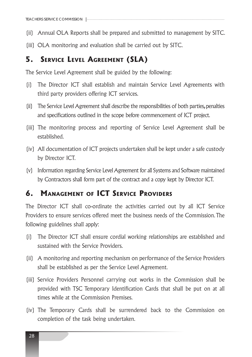- (ii) Annual OLA Reports shall be prepared and submitted to management by SITC.
- (iii) OLA monitoring and evaluation shall be carried out by SITC.

## **5. Service Level Agreement (SLA)**

The Service Level Agreement shall be guided by the following:

- (i) The Director ICT shall establish and maintain Service Level Agreements with third party providers offering ICT services.
- (ii) The Service Level Agreement shall describe the responsibilities of both parties, penalties and specifications outlined in the scope before commencement of ICT project.
- (iii) The monitoring process and reporting of Service Level Agreement shall be established.
- (iv) All documentation of ICT projects undertaken shall be kept under a safe custody by Director ICT.
- (v) Information regarding Service Level Agreement for all Systems and Software maintained by Contractors shall form part of the contract and a copy kept by Director ICT.

#### **6. Management of ICT Service Providers**

The Director ICT shall co-ordinate the activities carried out by all ICT Service Providers to ensure services offered meet the business needs of the Commission. The following guidelines shall apply:

- (i) The Director ICT shall ensure cordial working relationships are established and sustained with the Service Providers.
- (ii) A monitoring and reporting mechanism on performance of the Service Providers shall be established as per the Service Level Agreement.
- (iii) Service Providers Personnel carrying out works in the Commission shall be provided with TSC Temporary Identification Cards that shall be put on at all times while at the Commission Premises.
- (iv) The Temporary Cards shall be surrendered back to the Commission on completion of the task being undertaken.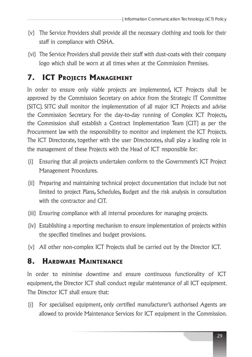- (v) The Service Providers shall provide all the necessary clothing and tools for their staff in compliance with OSHA.
- (vi) The Service Providers shall provide their staff with dust-coats with their company logo which shall be worn at all times when at the Commission Premises.

## **7. ICT Projects Management**

In order to ensure only viable projects are implemented, ICT Projects shall be approved by the Commission Secretary on advice from the Strategic IT Committee (SITC). SITC shall monitor the implementation of all major ICT Projects and advise the Commission Secretary. For the day-to-day running of Complex ICT Projects, the Commission shall establish a Contract Implementation Team (CIT) as per the Procurement law with the responsibility to monitor and implement the ICT Projects. The ICT Directorate, together with the user Directorates, shall play a leading role in the management of these Projects with the Head of ICT responsible for:

- (i) Ensuring that all projects undertaken conform to the Government's ICT Project Management Procedures.
- (ii) Preparing and maintaining technical project documentation that include but not limited to project Plans, Schedules, Budget and the risk analysis in consultation with the contractor and CIT.
- (iii) Ensuring compliance with all internal procedures for managing projects.
- (iv) Establishing a reporting mechanism to ensure implementation of projects within the specified timelines and budget provisions.
- (v) All other non-complex ICT Projects shall be carried out by the Director ICT.

## **8. Hardware Maintenance**

In order to minimise downtime and ensure continuous functionality of ICT equipment, the Director ICT shall conduct regular maintenance of all ICT equipment. The Director ICT shall ensure that:

(i) For specialised equipment, only certified manufacturer's authorised Agents are allowed to provide Maintenance Services for ICT equipment in the Commission.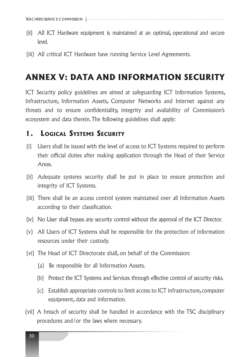- (ii) All ICT Hardware equipment is maintained at an optimal, operational and secure level.
- (iii) All critical ICT Hardware have running Service Level Agreements.

## **ANNEX V: DATA AND INFORMATION SECURITY**

ICT Security policy guidelines are aimed at safeguarding ICT Information Systems, Infrastructure, Information Assets, Computer Networks and Internet against any threats and to ensure confidentiality, integrity and availability of Commission's ecosystem and data therein. The following guidelines shall apply:

#### **1. Logical Systems Security**

- (i) Users shall be issued with the level of access to ICT Systems required to perform their official duties after making application through the Head of their Service Areas.
- (ii) Adequate systems security shall be put in place to ensure protection and integrity of ICT Systems.
- (iii) There shall be an access control system maintained over all Information Assets according to their classification.
- (iv) No User shall bypass any security control without the approval of the ICT Director.
- (v) All Users of ICT Systems shall be responsible for the protection of information resources under their custody.
- (vi) The Head of ICT Directorate shall, on behalf of the Commission:
	- (a) Be responsible for all Information Assets.
	- (b) Protect the ICT Systems and Services through effective control of security risks.
	- (c) Establish appropriate controls to limit access to ICT infrastructure, computer equipment, data and information.
- (vii) A breach of security shall be handled in accordance with the TSC disciplinary procedures and/or the laws where necessary.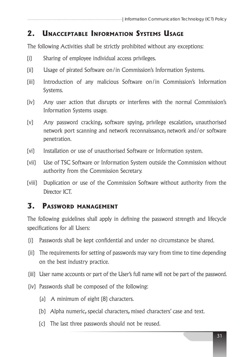#### **2. Unacceptable Information Systems Usage**

The following Activities shall be strictly prohibited without any exceptions:

- (i) Sharing of employee individual access privileges.
- (ii) Usage of pirated Software on/in Commission's Information Systems.
- (iii) Introduction of any malicious Software on/in Commission's Information Systems.
- (iv) Any user action that disrupts or interferes with the normal Commission's Information Systems usage.
- (v) Any password cracking, software spying, privilege escalation, unauthorised network port scanning and network reconnaissance, network and/or software penetration.
- (vi) Installation or use of unauthorised Software or Information system.
- (vii) Use of TSC Software or Information System outside the Commission without authority from the Commission Secretary.
- (viii) Duplication or use of the Commission Software without authority from the Director ICT.

#### **3. Password management**

The following guidelines shall apply in defining the password strength and lifecycle specifications for all Users:

- (i) Passwords shall be kept confidential and under no circumstance be shared.
- (ii) The requirements for setting of passwords may vary from time to time depending on the best industry practice.
- (iii) User name accounts or part of the User's full name will not be part of the password.
- (iv) Passwords shall be composed of the following:
	- (a) A minimum of eight (8) characters.
	- (b) Alpha numeric, special characters, mixed characters' case and text.
	- (c) The last three passwords should not be reused.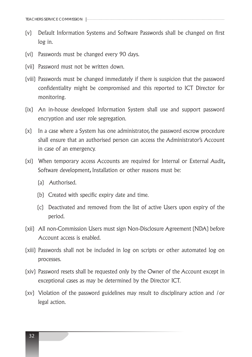- (v) Default Information Systems and Software Passwords shall be changed on first log in.
- (vi) Passwords must be changed every 90 days.
- (vii) Password must not be written down.
- (viii) Passwords must be changed immediately if there is suspicion that the password confidentiality might be compromised and this reported to ICT Director for monitoring.
- (ix) An in-house developed Information System shall use and support password encryption and user role segregation.
- (x) In a case where a System has one administrator, the password escrow procedure shall ensure that an authorised person can access the Administrator's Account in case of an emergency.
- (xi) When temporary access Accounts are required for Internal or External Audit, Software development, Installation or other reasons must be:
	- (a) Authorised.
	- (b) Created with specific expiry date and time.
	- (c) Deactivated and removed from the list of active Users upon expiry of the period.
- (xii) All non-Commission Users must sign Non-Disclosure Agreement (NDA) before Account access is enabled.
- (xiii) Passwords shall not be included in log on scripts or other automated log on processes.
- (xiv) Password resets shall be requested only by the Owner of the Account except in exceptional cases as may be determined by the Director ICT.
- (xv) Violation of the password guidelines may result to disciplinary action and /or legal action.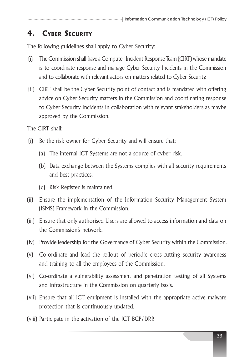## **4. Cyber Security**

The following guidelines shall apply to Cyber Security:

- (i) The Commission shall have a Computer Incident Response Team (CIRT) whose mandate is to coordinate response and manage Cyber Security Incidents in the Commission and to collaborate with relevant actors on matters related to Cyber Security.
- (ii) CIRT shall be the Cyber Security point of contact and is mandated with offering advice on Cyber Security matters in the Commission and coordinating response to Cyber Security Incidents in collaboration with relevant stakeholders as maybe approved by the Commission.

The CIRT shall:

- (i) Be the risk owner for Cyber Security and will ensure that:
	- (a) The internal ICT Systems are not a source of cyber risk.
	- (b) Data exchange between the Systems complies with all security requirements and best practices.
	- (c) Risk Register is maintained.
- (ii) Ensure the implementation of the Information Security Management System (ISMS) Framework in the Commission.
- (iii) Ensure that only authorised Users are allowed to access information and data on the Commission's network.
- (iv) Provide leadership for the Governance of Cyber Security within the Commission.
- (v) Co-ordinate and lead the rollout of periodic cross-cutting security awareness and training to all the employees of the Commission.
- (vi) Co-ordinate a vulnerability assessment and penetration testing of all Systems and Infrastructure in the Commission on quarterly basis.
- (vii) Ensure that all ICT equipment is installed with the appropriate active malware protection that is continuously updated.
- (viii) Participate in the activation of the ICT BCP/DRP.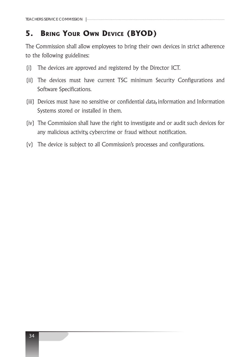#### **5. Bring Your Own Device (BYOD)**

The Commission shall allow employees to bring their own devices in strict adherence to the following guidelines:

- (i) The devices are approved and registered by the Director ICT.
- (ii) The devices must have current TSC minimum Security Configurations and Software Specifications.
- (iii) Devices must have no sensitive or confidential data, information and Information Systems stored or installed in them.
- (iv) The Commission shall have the right to investigate and or audit such devices for any malicious activity, cybercrime or fraud without notification.
- (v) The device is subject to all Commission's processes and configurations.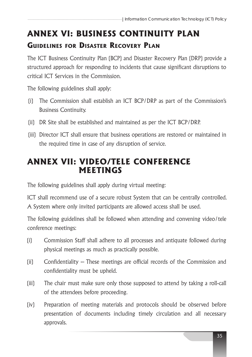# **ANNEX VI: BUSINESS CONTINUITY PLAN Guidelines for Disaster Recovery Plan**

The ICT Business Continuity Plan (BCP) and Disaster Recovery Plan (DRP) provide a structured approach for responding to incidents that cause significant disruptions to critical ICT Services in the Commission.

The following guidelines shall apply:

- (i) The Commission shall establish an ICT BCP/DRP as part of the Commission's Business Continuity.
- (ii) DR Site shall be established and maintained as per the ICT BCP/DRP.
- (iii) Director ICT shall ensure that business operations are restored or maintained in the required time in case of any disruption of service.

## **ANNEX VII: VIDEO/TELE CONFERENCE MEETINGS**

The following guidelines shall apply during virtual meeting:

ICT shall recommend use of a secure robust System that can be centrally controlled. A System where only invited participants are allowed access shall be used.

The following guidelines shall be followed when attending and convening video/tele conference meetings:

- (i) Commission Staff shall adhere to all processes and antiquate followed during physical meetings as much as practically possible.
- (ii) Confidentiality These meetings are official records of the Commission and confidentiality must be upheld.
- (iii) The chair must make sure only those supposed to attend by taking a roll-call of the attendees before proceeding.
- (iv) Preparation of meeting materials and protocols should be observed before presentation of documents including timely circulation and all necessary approvals.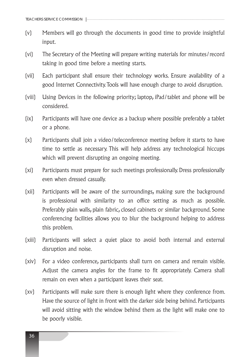- (v) Members will go through the documents in good time to provide insightful input.
- (vi) The Secretary of the Meeting will prepare writing materials for minutes/record taking in good time before a meeting starts.
- (vii) Each participant shall ensure their technology works. Ensure availability of a good Internet Connectivity. Tools will have enough charge to avoid disruption.
- (viii) Using Devices in the following priority; laptop, iPad/tablet and phone will be considered.
- (ix) Participants will have one device as a backup where possible preferably a tablet or a phone.
- (x) Participants shall join a video/teleconference meeting before it starts to have time to settle as necessary. This will help address any technological hiccups which will prevent disrupting an ongoing meeting.
- (xi) Participants must prepare for such meetings professionally. Dress professionally even when dressed casually.
- (xii) Participants will be aware of the surroundings, making sure the background is professional with similarity to an office setting as much as possible. Preferably plain walls, plain fabric, closed cabinets or similar background. Some conferencing facilities allows you to blur the background helping to address this problem.
- (xiii) Participants will select a quiet place to avoid both internal and external disruption and noise.
- (xiv) For a video conference, participants shall turn on camera and remain visible. Adjust the camera angles for the frame to fit appropriately. Camera shall remain on even when a participant leaves their seat.
- (xv) Participants will make sure there is enough light where they conference from. Have the source of light in front with the darker side being behind. Participants will avoid sitting with the window behind them as the light will make one to be poorly visible.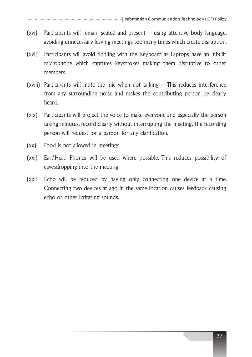- (xvi) Participants will remain seated and present using attentive body language, avoiding unnecessary leaving meetings too many times which create disruption.
- (xvii) Participants will avoid fiddling with the Keyboard as Laptops have an inbuilt microphone which captures keystrokes making them disruptive to other members.
- (xviii) Participants will mute the mic when not talking This reduces interference from any surrounding noise and makes the contributing person be clearly heard.
- (xix) Participants will project the voice to make everyone and especially the person taking minutes, record clearly without interrupting the meeting. The recording person will request for a pardon for any clarification.
- (xx) Food is not allowed in meetings.
- (xxi) Ear/Head Phones will be used where possible. This reduces possibility of eavesdropping into the meeting.
- (xxii) Echo will be reduced by having only connecting one device at a time. Connecting two devices at ago in the same location causes feedback causing echo or other irritating sounds.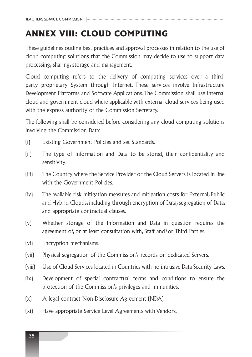# **ANNEX VIII: CLOUD COMPUTING**

These guidelines outline best practices and approval processes in relation to the use of cloud computing solutions that the Commission may decide to use to support data processing, sharing, storage and management.

Cloud computing refers to the delivery of computing services over a thirdparty proprietary System through Internet. These services involve Infrastructure Development Platforms and Software Applications. The Commission shall use internal cloud and government cloud where applicable with external cloud services being used with the express authority of the Commission Secretary.

The following shall be considered before considering any cloud computing solutions involving the Commission Data:

- (i) Existing Government Policies and set Standards.
- (ii) The type of Information and Data to be stored, their confidentiality and sensitivity.
- (iii) The Country where the Service Provider or the Cloud Servers is located in line with the Government Policies
- (iv) The available risk mitigation measures and mitigation costs for External, Public and Hybrid Clouds, including through encryption of Data, segregation of Data, and appropriate contractual clauses.
- (v) Whether storage of the Information and Data in question requires the agreement of, or at least consultation with, Staff and/or Third Parties.
- (vi) Encryption mechanisms.
- (vii) Physical segregation of the Commission's records on dedicated Servers.
- (viii) Use of Cloud Services located in Countries with no intrusive Data Security Laws.
- (ix) Development of special contractual terms and conditions to ensure the protection of the Commission's privileges and immunities.
- (x) A legal contract Non-Disclosure Agreement (NDA).
- (xi) Have appropriate Service Level Agreements with Vendors.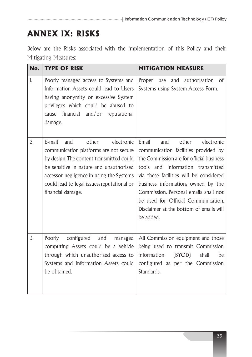*Information Communication Technology (ICT) Policy*

# **ANNEX IX: RISKS**

Below are the Risks associated with the implementation of this Policy and their Mitigating Measures:

| No. | <b>TYPE OF RISK</b>                                                                                                                                                                                                                                                                   | <b>MITIGATION MEASURE</b>                                                                                                                                                                                                                                                                                                                                                             |
|-----|---------------------------------------------------------------------------------------------------------------------------------------------------------------------------------------------------------------------------------------------------------------------------------------|---------------------------------------------------------------------------------------------------------------------------------------------------------------------------------------------------------------------------------------------------------------------------------------------------------------------------------------------------------------------------------------|
| 1.  | Poorly managed access to Systems and<br>Information Assets could lead to Users<br>having anonymity or excessive System<br>privileges which could be abused to<br>financial<br>and/or<br>reputational<br>cause<br>damage.                                                              | authorisation<br>of<br>and<br>Proper<br>use<br>Systems using System Access Form.                                                                                                                                                                                                                                                                                                      |
| 2.  | E-mail<br>and<br>other<br>electronic<br>communication platforms are not secure<br>by design. The content transmitted could<br>be sensitive in nature and unauthorised<br>accessor negligence in using the Systems<br>could lead to legal issues, reputational or<br>financial damage. | Email<br>electronic<br>and<br>other<br>communication facilities provided by<br>the Commission are for official business<br>tools and information transmitted<br>via these facilities will be considered<br>business information, owned by the<br>Commission, Personal emails shall not<br>be used for Official Communication.<br>Disclaimer at the bottom of emails will<br>be added. |
| 3.  | Poorly<br>configured<br>and<br>managed<br>computing Assets could be a vehicle<br>through which unauthorised access to<br>Systems and Information Assets could<br>be obtained.                                                                                                         | All Commission equipment and those<br>being used to transmit Commission<br>information<br>(BYOD)<br>shall<br>be<br>configured as per the Commission<br>Standards.                                                                                                                                                                                                                     |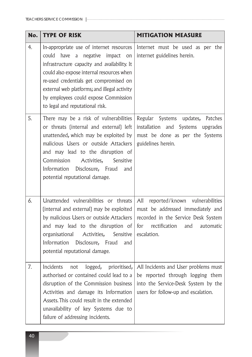| No. | <b>TYPE OF RISK</b>                                                                                                                                                                                                                                                                                                                                          | <b>MITIGATION MEASURE</b>                                                                                                                                                    |
|-----|--------------------------------------------------------------------------------------------------------------------------------------------------------------------------------------------------------------------------------------------------------------------------------------------------------------------------------------------------------------|------------------------------------------------------------------------------------------------------------------------------------------------------------------------------|
| 4.  | In-appropriate use of internet resources<br>could<br>have<br>negative<br>a<br>impact<br>on<br>infrastructure capacity and availability. It<br>could also expose internal resources when<br>re-used credentials get compromised on<br>external web platforms; and illegal activity<br>by employees could expose Commission<br>to legal and reputational risk. | Internet must be used as per the<br>internet guidelines herein.                                                                                                              |
| 5.  | There may be a risk of vulnerabilities<br>or threats (internal and external) left<br>unattended, which may be exploited by<br>malicious Users or outside Attackers<br>and may lead to the disruption of<br>Commission<br>Activities,<br>Sensitive<br>Information Disclosure, Fraud<br>and<br>potential reputational damage.                                  | Regular Systems<br>Patches<br>updates,<br>installation and Systems upgrades<br>must be done as per the Systems<br>guidelines herein.                                         |
| 6.  | Unattended vulnerabilities or threats<br>(internal and external) may be exploited<br>by malicious Users or outside Attackers<br>and may lead to the disruption of<br>organisational<br>Activities,<br>Sensitive<br>Information Disclosure, Fraud<br>and<br>potential reputational damage.                                                                    | All<br>reported/known vulnerabilities<br>must be addressed immediately and<br>recorded in the Service Desk System<br>rectification<br>for<br>and<br>automatic<br>escalation. |
| 7.  | Incidents<br>not<br>logged,<br>prioritised,<br>authorised or contained could lead to a<br>disruption of the Commission business<br>Activities and damage its Information<br>Assets. This could result in the extended<br>unavailability of key Systems due to<br>failure of addressing incidents.                                                            | All Incidents and User problems must<br>be reported through logging them<br>into the Service-Desk System by the<br>users for follow-up and escalation.                       |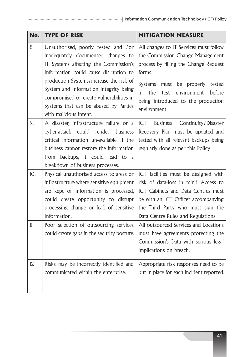| No.        | <b>TYPE OF RISK</b>                                                                                                                                                                                                                                                                                                                                              | <b>MITIGATION MEASURE</b>                                                                                                                                                                                                                                                                                                                                                               |
|------------|------------------------------------------------------------------------------------------------------------------------------------------------------------------------------------------------------------------------------------------------------------------------------------------------------------------------------------------------------------------|-----------------------------------------------------------------------------------------------------------------------------------------------------------------------------------------------------------------------------------------------------------------------------------------------------------------------------------------------------------------------------------------|
| 8.         | Unauthorised, poorly tested and /or<br>inadequately documented changes to<br>IT Systems affecting the Commission's<br>Information could cause disruption to<br>production Systems, increase the risk of<br>System and Information integrity being<br>compromised or create vulnerabilities in<br>Systems that can be abused by Parties<br>with malicious intent. | All changes to IT Services must follow<br>the Commission Change Management<br>process by filling the Change Request<br>forms.<br>Systems<br>must be properly<br>tested<br>the<br>environment<br>before<br>in<br>test<br>being introduced to the production<br>environment.                                                                                                              |
| 9.         | A disaster, infrastructure failure or a<br>cyber-attack could render business<br>critical information un-available. If the<br>business cannot restore the information<br>from backups, it could lead to a<br>breakdown of business processes.                                                                                                                    | <b>ICT</b><br><b>Business</b><br>Continuity/Disaster<br>Recovery Plan must be updated and<br>tested with all relevant backups being<br>regularly done as per this Policy.                                                                                                                                                                                                               |
| 10.<br>11. | Physical unauthorised access to areas or<br>infrastructure where sensitive equipment<br>are kept or information is processed,<br>could create opportunity to disrupt<br>processing change or leak of sensitive<br>Information.<br>Poor selection of outsourcing services<br>could create gaps in the security posture.                                           | ICT facilities must be designed with<br>risk of data-loss in mind. Access to<br>ICT Cabinets and Data Centres must<br>be with an ICT Officer accompanying<br>the Third Party who must sign the<br>Data Centre Rules and Regulations.<br>All outsourced Services and Locations<br>must have agreements protecting the<br>Commission's Data with serious legal<br>implications on breach. |
| 12         | Risks may be incorrectly identified and<br>communicated within the enterprise.                                                                                                                                                                                                                                                                                   | Appropriate risk responses need to be<br>put in place for each incident reported.                                                                                                                                                                                                                                                                                                       |

 $\overline{\phantom{a}}$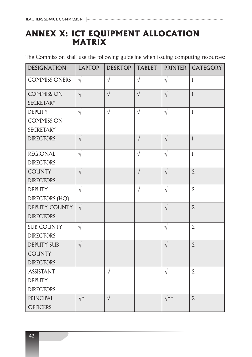## **ANNEX X: ICT EQUIPMENT ALLOCATION MATRIX**

The Commission shall use the following guideline when issuing computing resources:

| <b>DESIGNATION</b>   | <b>LAPTOP</b> | <b>DESKTOP</b> | <b>TABLET</b> | <b>PRINTER</b> | <b>CATEGORY</b> |
|----------------------|---------------|----------------|---------------|----------------|-----------------|
| <b>COMMISSIONERS</b> | $\sqrt{}$     | $\sqrt{}$      | $\sqrt{}$     | $\sqrt{}$      | $\mathbf{1}$    |
| <b>COMMISSION</b>    | $\sqrt{ }$    | $\sqrt{}$      | $\sqrt{}$     | $\sqrt{}$      | $\mathbf{1}$    |
| <b>SECRETARY</b>     |               |                |               |                |                 |
| <b>DEPUTY</b>        | $\sqrt{}$     | $\sqrt{}$      | $\sqrt{}$     | $\sqrt{}$      | $\mathbf{1}$    |
| <b>COMMISSION</b>    |               |                |               |                |                 |
| <b>SECRETARY</b>     |               |                |               |                |                 |
| <b>DIRECTORS</b>     | $\sqrt{ }$    |                | $\sqrt{ }$    | $\sqrt{}$      | $\mathbf{1}$    |
| REGIONAL             | $\sqrt{}$     |                | $\sqrt{}$     | $\sqrt{}$      | $\mathbf{1}$    |
| <b>DIRECTORS</b>     |               |                |               |                |                 |
| <b>COUNTY</b>        | $\sqrt{ }$    |                | $\sqrt{}$     | $\sqrt{}$      | $\overline{2}$  |
| <b>DIRECTORS</b>     |               |                |               |                |                 |
| <b>DEPUTY</b>        | $\sqrt{}$     |                | $\sqrt{ }$    | $\sqrt{}$      | $\overline{2}$  |
| DIRECTORS (HQ)       |               |                |               |                |                 |
| <b>DEPUTY COUNTY</b> | $\sqrt{}$     |                |               | $\sqrt{}$      | $\overline{2}$  |
| <b>DIRECTORS</b>     |               |                |               |                |                 |
| <b>SUB COUNTY</b>    | $\sqrt{}$     |                |               | $\sqrt{}$      | $\mathbf{2}$    |
| <b>DIRECTORS</b>     |               |                |               |                |                 |
| <b>DEPUTY SUB</b>    | $\sqrt{}$     |                |               | $\sqrt{}$      | $\overline{2}$  |
| <b>COUNTY</b>        |               |                |               |                |                 |
| <b>DIRECTORS</b>     |               |                |               |                |                 |
| <b>ASSISTANT</b>     |               | $\sqrt{}$      |               | $\sqrt{}$      | $\overline{2}$  |
| <b>DEPUTY</b>        |               |                |               |                |                 |
| <b>DIRECTORS</b>     |               |                |               |                |                 |
| PRINCIPAL            | $\sqrt{*}$    | $\sqrt{}$      |               | $\sqrt{**}$    | $\overline{2}$  |
| <b>OFFICERS</b>      |               |                |               |                |                 |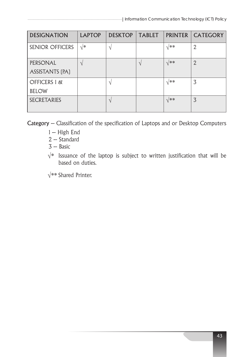| <b>DESIGNATION</b>      | <b>LAPTOP</b> | <b>DESKTOP</b> | <b>TABLET</b> | <b>PRINTER</b> | <b>CATEGORY</b> |
|-------------------------|---------------|----------------|---------------|----------------|-----------------|
| <b>SENIOR OFFICERS</b>  | $\sqrt{*}$    |                |               | √**            | റ               |
| PERSONAL                |               |                |               | 1/**           | າ               |
| ASSISTANTS (PA)         |               |                |               |                |                 |
| <b>OFFICERS I &amp;</b> |               |                |               | √**            | 3               |
| <b>BELOW</b>            |               |                |               |                |                 |
| <b>SECRETARIES</b>      |               |                |               | 1/**           | 3               |
|                         |               |                |               |                |                 |

Category – Classification of the specification of Laptops and or Desktop Computers

- 1 High End
- 2 Standard

3 – Basic

 $\sqrt{*}$  Issuance of the laptop is subject to written justification that will be based on duties.

√\*\* Shared Printer.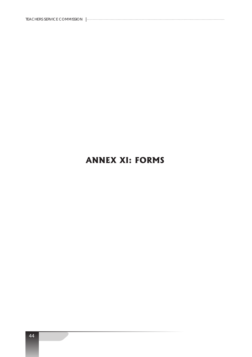TEACHERS SERVICE COMMISSION

## **ANNEX XI: FORMS**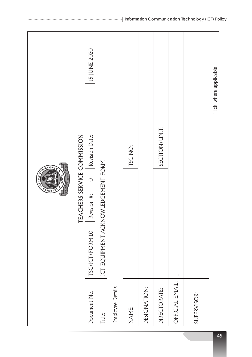|                         |                                    | <b>GHER</b>                 | ERVICE  | 15510          |                       |              |
|-------------------------|------------------------------------|-----------------------------|---------|----------------|-----------------------|--------------|
|                         |                                    | TEACHERS SERVICE COMMISSION |         |                |                       |              |
| Document No.:           | TSC/ICT/FORM.I.0                   | Revision #:                 | $\circ$ | Revision Date: |                       | 15 JUNE 2020 |
| Title:                  | ICT EQUIPMENT ACKNOWLEDGEMENT FORM |                             |         |                |                       |              |
| <b>Employee Details</b> |                                    |                             |         |                |                       |              |
| NAME:                   |                                    |                             |         | TSC NO:        |                       |              |
| <b>DESIGNATION:</b>     |                                    |                             |         |                |                       |              |
| DIRECTORATE:            |                                    |                             |         | SECTION/UNIT:  |                       |              |
| OFFICIAL EMAIL:         | $\mathbb I$                        |                             |         |                |                       |              |
| SUPERVISOR:             |                                    |                             |         |                |                       |              |
|                         |                                    |                             |         |                | Tick where applicable |              |

 $\blacksquare$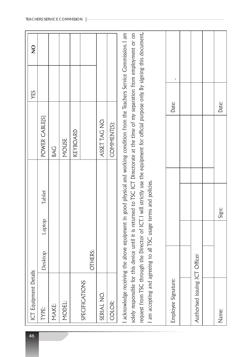| 46 | ICT Equipment Details                                                                                                                                                                                 |                |        |       |        |                                                                                                                                                                                                                                                                     | YES   |  | $\frac{1}{2}$ |
|----|-------------------------------------------------------------------------------------------------------------------------------------------------------------------------------------------------------|----------------|--------|-------|--------|---------------------------------------------------------------------------------------------------------------------------------------------------------------------------------------------------------------------------------------------------------------------|-------|--|---------------|
|    | TYPE:                                                                                                                                                                                                 | Desktop        | Laptop |       | Tablet | POWER CABLE[S]                                                                                                                                                                                                                                                      |       |  |               |
|    | <b>MAKE</b>                                                                                                                                                                                           |                |        |       |        | BAG                                                                                                                                                                                                                                                                 |       |  |               |
|    | MODEL:                                                                                                                                                                                                |                |        |       |        | MOUSE                                                                                                                                                                                                                                                               |       |  |               |
|    |                                                                                                                                                                                                       |                |        |       |        | KEYBOARD                                                                                                                                                                                                                                                            |       |  |               |
|    | <b>SPECIFICATIONS</b>                                                                                                                                                                                 | <b>OTHERS:</b> |        |       |        |                                                                                                                                                                                                                                                                     |       |  |               |
|    | SERIAL NO.                                                                                                                                                                                            |                |        |       |        | ASSET TAG NO.                                                                                                                                                                                                                                                       |       |  |               |
|    | COLOR:                                                                                                                                                                                                |                |        |       |        | COMMENTS):                                                                                                                                                                                                                                                          |       |  |               |
|    | solely responsible for this device until it is returned to TSC ICT Directorate at the time of my separation from employment or on<br>I am accepting and agreeing to all TSC usage terms and policies. |                |        |       |        | request from TSC through the Director of ICT. I will strictly use the equipment for official purpose only. By signing this document,<br>acknowledge receiving the above equipment in good physical and working condition from the Teachers Service Commission. I am |       |  |               |
|    | Employee Signature:                                                                                                                                                                                   |                |        |       |        |                                                                                                                                                                                                                                                                     | Date: |  |               |
|    |                                                                                                                                                                                                       |                |        |       |        |                                                                                                                                                                                                                                                                     |       |  |               |
|    | Authorised issuing ICT Officer                                                                                                                                                                        |                |        |       |        |                                                                                                                                                                                                                                                                     |       |  |               |
|    |                                                                                                                                                                                                       |                |        |       |        |                                                                                                                                                                                                                                                                     |       |  |               |
|    | Name:                                                                                                                                                                                                 |                |        | Sign: |        |                                                                                                                                                                                                                                                                     | Date: |  |               |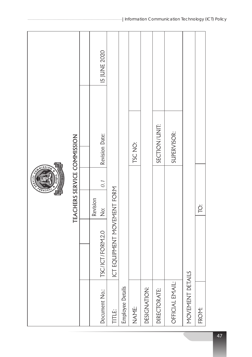|                     |                             | <b>ABH2</b>                 | <b>AVICE</b> |                |               |                     |
|---------------------|-----------------------------|-----------------------------|--------------|----------------|---------------|---------------------|
|                     |                             | TEACHERS SERVICE COMMISSION |              |                |               |                     |
|                     |                             |                             |              |                |               |                     |
|                     |                             | Revision                    |              |                |               |                     |
| Document No.:       | TSC/ICT/FORM.2.0            | $\stackrel{\rm o}{\simeq}$  | 0.1          | Revision Date: |               | <b>IS JUNE 2020</b> |
| <b>TITLE</b>        | ICT EQUIPMENT MOVEMENT FORM |                             |              |                |               |                     |
| Employee Details    |                             |                             |              |                |               |                     |
| NAME:               |                             |                             |              | TSC NO:        |               |                     |
| <b>DESIGNATION:</b> |                             |                             |              |                |               |                     |
| DIRECTORATE:        |                             |                             |              |                | SECTION/UNIT: |                     |
| OFFICIAL EMAIL:     |                             |                             |              | SUPERVISOR:    |               |                     |
| MOVEMENT DETAILS    |                             |                             |              |                |               |                     |
| FROM:               |                             | ë                           |              |                |               |                     |
|                     |                             |                             |              |                |               |                     |

 $\overline{\phantom{a}}$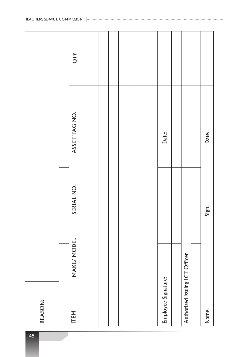| REASON:                        |             |            |               |     |
|--------------------------------|-------------|------------|---------------|-----|
|                                |             |            |               |     |
|                                |             |            |               |     |
| <b>ITEM</b>                    | MAKE/ MODEL | SERIAL NO. | ASSET TAG NO. | QTY |
|                                |             |            |               |     |
|                                |             |            |               |     |
|                                |             |            |               |     |
|                                |             |            |               |     |
|                                |             |            |               |     |
|                                |             |            |               |     |
|                                |             |            |               |     |
|                                |             |            |               |     |
| Employee Signature:            |             |            | Date:         |     |
|                                |             |            |               |     |
| Authorised issuing ICT Officer |             |            |               |     |
|                                |             |            |               |     |
| Name:                          |             | Sign:      | Date:         |     |

TEACHERS SERVICE COMMISSION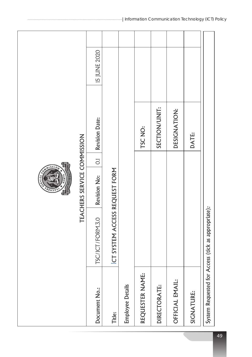|                         |                                                    | <b>CHERS</b>                | MISSIO         |                       |                     |  |
|-------------------------|----------------------------------------------------|-----------------------------|----------------|-----------------------|---------------------|--|
|                         |                                                    | TEACHERS SERVICE COMMISSION |                |                       |                     |  |
| Document No.:           | TSC/ICT/FORM.3.0                                   | Revision No:                | $\overline{C}$ | <b>Revision Date:</b> | <b>IS JUNE 2020</b> |  |
| Title:                  | ICT SYSTEM ACCESS REQUEST FORM                     |                             |                |                       |                     |  |
| <b>Employee Details</b> |                                                    |                             |                |                       |                     |  |
| REQUESTER NAME:         |                                                    |                             |                | TSC NO:               |                     |  |
| DIRECTORATE:            |                                                    |                             |                | SECTION/UNIT:         |                     |  |
| OFFICIAL EMAIL:         |                                                    |                             |                | <b>DESIGNATION:</b>   |                     |  |
| SIGNATURE:              |                                                    |                             |                | DATE:                 |                     |  |
|                         | System Requested for Access (tick as appropriate): |                             |                |                       |                     |  |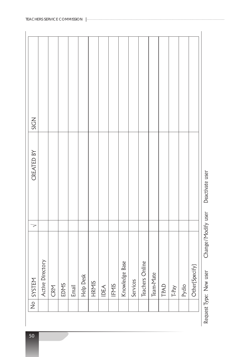| 50 | No SYSTEM              | $\geq$ |                                      | CREATED BY | SIGN |  |
|----|------------------------|--------|--------------------------------------|------------|------|--|
|    | Active Directory       |        |                                      |            |      |  |
|    | CRM                    |        |                                      |            |      |  |
|    | <b>EDMS</b>            |        |                                      |            |      |  |
|    | Email                  |        |                                      |            |      |  |
|    | Help Desk              |        |                                      |            |      |  |
|    | HRMIS                  |        |                                      |            |      |  |
|    | IDEA                   |        |                                      |            |      |  |
|    | <b>IFMIS</b>           |        |                                      |            |      |  |
|    | Knowledge Base         |        |                                      |            |      |  |
|    | Services               |        |                                      |            |      |  |
|    | Teachers Online        |        |                                      |            |      |  |
|    | Team-Mate              |        |                                      |            |      |  |
|    | TPAD                   |        |                                      |            |      |  |
|    | $T-Pay$                |        |                                      |            |      |  |
|    | Pydio                  |        |                                      |            |      |  |
|    | Other(Specify)         |        |                                      |            |      |  |
|    | Request Type: New user |        | Change / Modify user Deactivate user |            |      |  |

TEACHERS SERVICE COMMISSION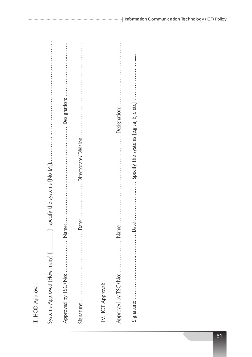III. HOD Approval: III. HOD Approval:

| Systems Approved [How many] [ |  |
|-------------------------------|--|
|                               |  |
|                               |  |
| IV. ICT Approval:             |  |
|                               |  |
|                               |  |
|                               |  |

C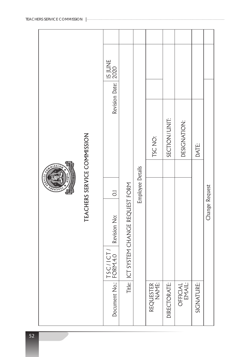|                             |                             | Revision Date:   IS JUNE<br>Revision Date:   2020 |                                       |                  |                    |               |                     |                   |                |
|-----------------------------|-----------------------------|---------------------------------------------------|---------------------------------------|------------------|--------------------|---------------|---------------------|-------------------|----------------|
|                             |                             |                                                   |                                       |                  |                    |               |                     |                   |                |
| RVICE<br>ENY<br><b>ABRA</b> | TEACHERS SERVICE COMMISSION |                                                   |                                       |                  | TSC NO:            | SECTION/UNIT: | <b>DESIGNATION:</b> | DATE:             |                |
|                             |                             |                                                   |                                       |                  |                    |               |                     |                   |                |
|                             |                             | $\overline{\circ}$                                |                                       | Employee Details |                    |               |                     |                   |                |
|                             |                             | Revision No:                                      | Title: ICT SYSTEM CHANGE REQUEST FORM |                  |                    |               |                     |                   | Change Request |
|                             |                             |                                                   |                                       |                  |                    |               |                     |                   |                |
|                             |                             | TSC/ICT/<br>Document No.: FORM4.0                 |                                       |                  | requester<br>Name: | DIRECTORATE:  | OFFICIAL            | <b>SIGNATURE:</b> |                |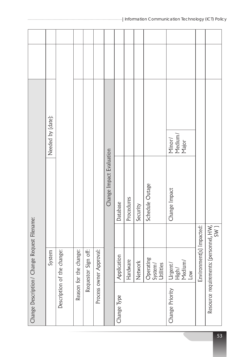| Environment(s) Impacted:<br>Resource requirements: (personnel, HW,<br>SW) |
|---------------------------------------------------------------------------|
|                                                                           |
|                                                                           |

C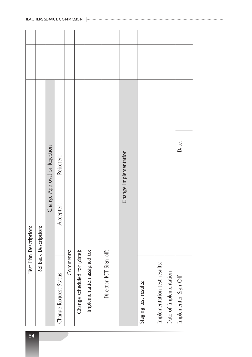| Director ICT Sign off:<br>Change scheduled for (date):<br>Implementation assigned to:<br>Comments:<br>Implementation test results:<br>Change Request Status<br>Staging test results: | Accepted: | Change Approval or Rejection<br>Change Implementation<br>Rejected: |       |  |
|--------------------------------------------------------------------------------------------------------------------------------------------------------------------------------------|-----------|--------------------------------------------------------------------|-------|--|
| Date of Implementation                                                                                                                                                               |           |                                                                    |       |  |
| Implementer Sign Off                                                                                                                                                                 |           |                                                                    | Date: |  |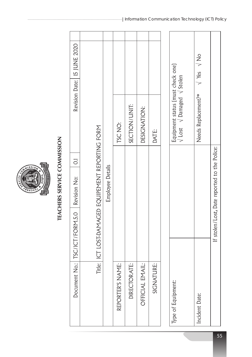# TEACHERS SERVICE COMMISSION **TEACHERS SERVICE COMMISSION**

|                    | Document No.:   TSC/ICT/FORM.5.0   Revision No:     |                                              | $\overline{5}$ |                                                                                                                    | Revision Date:   15 JUNE 2020 |  |
|--------------------|-----------------------------------------------------|----------------------------------------------|----------------|--------------------------------------------------------------------------------------------------------------------|-------------------------------|--|
|                    |                                                     |                                              |                |                                                                                                                    |                               |  |
|                    | Title:   ICT LOST-DAMAGED EQUIPEMENT REPORTING FORM |                                              |                |                                                                                                                    |                               |  |
|                    |                                                     | Employee Details                             |                |                                                                                                                    |                               |  |
| REPORTER'S NAME:   |                                                     |                                              |                | TSC NO:                                                                                                            |                               |  |
| DIRECTORATE:       |                                                     |                                              |                | SECTION/UNIT:                                                                                                      |                               |  |
| OFFICIAL EMAIL:    |                                                     |                                              |                | DESIGNATION:                                                                                                       |                               |  |
| <b>SIGNATURE:</b>  |                                                     |                                              |                | DATE:                                                                                                              |                               |  |
|                    |                                                     |                                              |                |                                                                                                                    |                               |  |
| Type of Equipment: |                                                     |                                              |                | Equipment status (must check one)<br>$\sqrt[4]{\text{ Lost}}$ $\sqrt[4]{\text{Damaged}}$ $\sqrt[4]{\text{Stolen}}$ |                               |  |
| Incident Date:     |                                                     |                                              |                | Needs Replacement?* V Yes V No                                                                                     |                               |  |
|                    |                                                     | If stolen/Lost, Date reported to the Police: |                |                                                                                                                    |                               |  |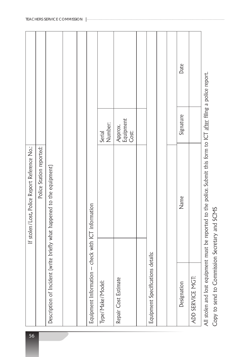| Date<br>Signature<br>Approx.<br>Equipment<br>Number:<br>Cost:<br>Serial<br>Name<br>Equipment Information - check with ICT information<br>Equipment Specifications details:<br>ADD SERVICE MGT:<br>Repair Cost Estimate<br>Type / Make / Model:<br>Designation | If stolen/Lost, Police Report Reference No.:<br>Police Station reported:<br>Description of Incident (write briefly what happened to the equipment) |  |
|---------------------------------------------------------------------------------------------------------------------------------------------------------------------------------------------------------------------------------------------------------------|----------------------------------------------------------------------------------------------------------------------------------------------------|--|
|                                                                                                                                                                                                                                                               |                                                                                                                                                    |  |
|                                                                                                                                                                                                                                                               |                                                                                                                                                    |  |
|                                                                                                                                                                                                                                                               |                                                                                                                                                    |  |
|                                                                                                                                                                                                                                                               |                                                                                                                                                    |  |
|                                                                                                                                                                                                                                                               |                                                                                                                                                    |  |
|                                                                                                                                                                                                                                                               |                                                                                                                                                    |  |

TO IC I alle illing a police report. All stolen and lost equipment must be reported to the police. Submit this form Copy to send to Commission Secretary and SCMS Copy to send to Commission Secretary and SCMS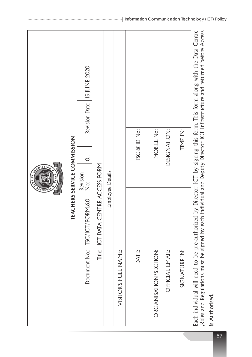is Authorised. is Authorised.

C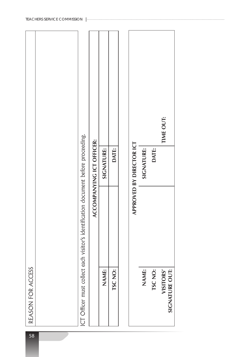|                   |                                                                                    |                           |                   |         |                          |            |         | TIME OUT:                   |  |
|-------------------|------------------------------------------------------------------------------------|---------------------------|-------------------|---------|--------------------------|------------|---------|-----------------------------|--|
|                   |                                                                                    | ACCOMPANYING ICT OFFICER: | <b>SIGNATURE:</b> | DATE:   | APPROVED BY DIRECTOR ICT | SIGNATURE: | DATE:   |                             |  |
|                   | ICT Officer must collect each visitor's identification document before proceeding. |                           |                   |         |                          |            |         |                             |  |
| REASON FOR ACCESS |                                                                                    |                           | NAME:             | TSC NO: |                          | NAME:      | TSC NO: | VISITORS'<br>SIGNATURE OUT: |  |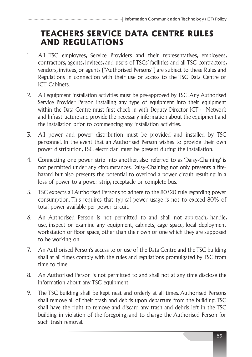## **TEACHERS SERVICE DATA CENTRE RULES AND REGULATIONS**

- 1. All TSC employees, Service Providers and their representatives, employees, contractors, agents, invitees, and users of TSCs' facilities and all TSC contractors, vendors, invitees, or agents ("Authorised Persons") are subject to these Rules and Regulations in connection with their use or access to the TSC Data Centre or ICT Cabinets.
- 2. All equipment installation activities must be pre-approved by TSC. Any Authorised Service Provider Person installing any type of equipment into their equipment within the Data Centre must first check in with Deputy Director ICT – Network and Infrastructure and provide the necessary information about the equipment and the installation prior to commencing any installation activities.
- 3. All power and power distribution must be provided and installed by TSC personnel. In the event that an Authorised Person wishes to provide their own power distribution, TSC electrician must be present during the installation.
- 4. Connecting one power strip into another, also referred to as 'Daisy-Chaining' is not permitted under any circumstances. Daisy-Chaining not only presents a firehazard but also presents the potential to overload a power circuit resulting in a loss of power to a power strip, receptacle or complete bus.
- 5. TSC expects all Authorised Persons to adhere to the 80/20 rule regarding power consumption. This requires that typical power usage is not to exceed 80% of total power available per power circuit.
- 6. An Authorised Person is not permitted to and shall not approach, handle, use, inspect or examine any equipment, cabinets, cage space, local deployment workstation or floor space, other than their own or one which they are supposed to be working on.
- 7. An Authorised Person's access to or use of the Data Centre and the TSC building shall at all times comply with the rules and regulations promulgated by TSC from time to time.
- 8. An Authorised Person is not permitted to and shall not at any time disclose the information about any TSC equipment.
- 9. The TSC building shall be kept neat and orderly at all times. Authorised Persons shall remove all of their trash and debris upon departure from the building. TSC shall have the right to remove and discard any trash and debris left in the TSC building in violation of the foregoing, and to charge the Authorised Person for such trash removal.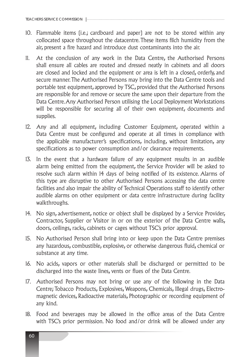TEACHERS SERVICE COMMISSION |

- 10. Flammable items (i.e.; cardboard and paper) are not to be stored within any collocated space throughout the datacentre. These items filch humidity from the air, present a fire hazard and introduce dust contaminants into the air.
- 11. At the conclusion of any work in the Data Centre, the Authorised Persons shall ensure all cables are routed and dressed neatly in cabinets and all doors are closed and locked and the equipment or area is left in a closed, orderly, and secure manner. The Authorised Persons may bring into the Data Centre tools and portable test equipment, approved by TSC, provided that the Authorised Persons are responsible for and remove or secure the same upon their departure from the Data Centre. Any Authorised Person utilising the Local Deployment Workstations will be responsible for securing all of their own equipment, documents and supplies.
- 12. Any and all equipment, including Customer Equipment, operated within a Data Centre must be configured and operate at all times in compliance with the applicable manufacturer's specifications, including, without limitation, any specifications as to power consumption and/or clearance requirements.
- 13. In the event that a hardware failure of any equipment results in an audible alarm being emitted from the equipment, the Service Provider will be asked to resolve such alarm within 14 days of being notified of its existence. Alarms of this type are disruptive to other Authorised Persons accessing the data centre facilities and also impair the ability of Technical Operations staff to identify other audible alarms on other equipment or data centre infrastructure during facility walkthroughs.
- 14. No sign, advertisement, notice or object shall be displayed by a Service Provider, Contractor, Supplier or Visitor in or on the exterior of the Data Centre walls, doors, ceilings, racks, cabinets or cages without TSC's prior approval.
- 15. No Authorised Person shall bring into or keep upon the Data Centre premises any hazardous, combustible, explosive, or otherwise dangerous fluid, chemical or substance at any time.
- 16. No acids, vapors or other materials shall be discharged or permitted to be discharged into the waste lines, vents or flues of the Data Centre.
- 17. Authorised Persons may not bring or use any of the following in the Data Centre; Tobacco Products, Explosives, Weapons, Chemicals, Illegal drugs, Electromagnetic devices, Radioactive materials, Photographic or recording equipment of any kind.
- 18. Food and beverages may be allowed in the office areas of the Data Centre with TSC's prior permission. No food and/or drink will be allowed under any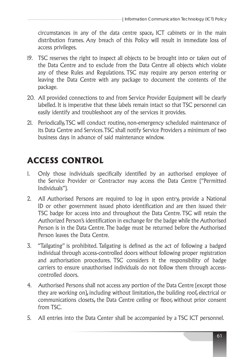circumstances in any of the data centre space, ICT cabinets or in the main distribution frames. Any breach of this Policy will result in immediate loss of access privileges.

- 19. TSC reserves the right to inspect all objects to be brought into or taken out of the Data Centre and to exclude from the Data Centre all objects which violate any of these Rules and Regulations. TSC may require any person entering or leaving the Data Centre with any package to document the contents of the package.
- 20. All provided connections to and from Service Provider Equipment will be clearly labelled. It is imperative that these labels remain intact so that TSC personnel can easily identify and troubleshoot any of the services it provides.
- 21. Periodically, TSC will conduct routine, non-emergency scheduled maintenance of its Data Centre and Services. TSC shall notify Service Providers a minimum of two business days in advance of said maintenance window.

## **ACCESS CONTROL**

- 1. Only those individuals specifically identified by an authorised employee of the Service Provider or Contractor may access the Data Centre ("Permitted Individuals").
- 2. All Authorised Persons are required to log in upon entry, provide a National ID or other government issued photo identification and are then issued their TSC badge for access into and throughout the Data Centre. TSC will retain the Authorized Person's identification in exchange for the badge while the Authorised Person is in the Data Centre. The badge must be returned before the Authorised Person leaves the Data Centre.
- 3. "Tailgating" is prohibited. Tailgating is defined as the act of following a badged individual through access-controlled doors without following proper registration and authorisation procedures. TSC considers it the responsibility of badge carriers to ensure unauthorised individuals do not follow them through accesscontrolled doors.
- 4. Authorised Persons shall not access any portion of the Data Centre (except those they are working on), including without limitation, the building roof, electrical or communications closets, the Data Centre ceiling or floor, without prior consent from TSC.
- 5. All entries into the Data Center shall be accompanied by a TSC ICT personnel.